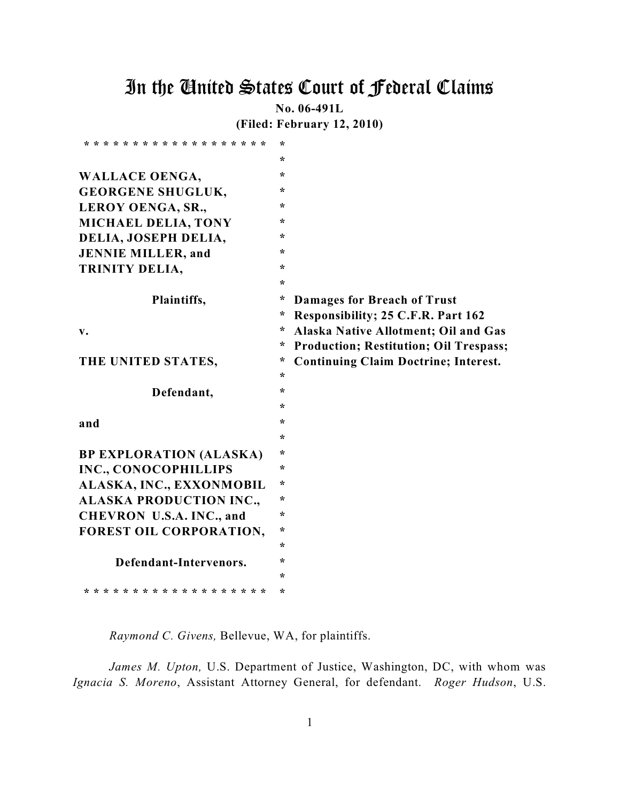# In the United States Court of Federal Claims

**No. 06-491L**

**(Filed: February 12, 2010)**

| * * * * * * * * * * * * * * * * * * *   | ÷       |                                               |
|-----------------------------------------|---------|-----------------------------------------------|
|                                         | ÷       |                                               |
| <b>WALLACE OENGA,</b>                   | $\star$ |                                               |
| <b>GEORGENE SHUGLUK,</b>                | ÷       |                                               |
| LEROY OENGA, SR.,                       | $\star$ |                                               |
| <b>MICHAEL DELIA, TONY</b>              | $\star$ |                                               |
| DELIA, JOSEPH DELIA,                    | ÷       |                                               |
| <b>JENNIE MILLER, and</b>               | $\star$ |                                               |
| TRINITY DELIA,                          | $\star$ |                                               |
|                                         | $\star$ |                                               |
| Plaintiffs,                             | ÷       | <b>Damages for Breach of Trust</b>            |
|                                         | ÷       | Responsibility; 25 C.F.R. Part 162            |
| $\mathbf{v}$ .                          | ÷       | Alaska Native Allotment; Oil and Gas          |
|                                         | *       | <b>Production; Restitution; Oil Trespass;</b> |
| THE UNITED STATES,                      | *       | <b>Continuing Claim Doctrine; Interest.</b>   |
|                                         | $\star$ |                                               |
| Defendant,                              | ÷       |                                               |
|                                         | ÷       |                                               |
| and                                     | ÷       |                                               |
|                                         | ÷       |                                               |
| <b>BP EXPLORATION (ALASKA)</b>          | $\star$ |                                               |
| INC., CONOCOPHILLIPS                    | ÷       |                                               |
| ALASKA, INC., EXXONMOBIL                | $\star$ |                                               |
| <b>ALASKA PRODUCTION INC.,</b>          | ÷       |                                               |
| CHEVRON U.S.A. INC., and                | ÷       |                                               |
| FOREST OIL CORPORATION,                 | ÷       |                                               |
|                                         |         |                                               |
|                                         | $\star$ |                                               |
| Defendant-Intervenors.                  | ÷       |                                               |
| * * * * * * * * * * * * * * * * * * * * | ÷<br>÷  |                                               |

*Raymond C. Givens,* Bellevue, WA, for plaintiffs.

*James M. Upton,* U.S. Department of Justice, Washington, DC, with whom was *Ignacia S. Moreno*, Assistant Attorney General, for defendant. *Roger Hudson*, U.S.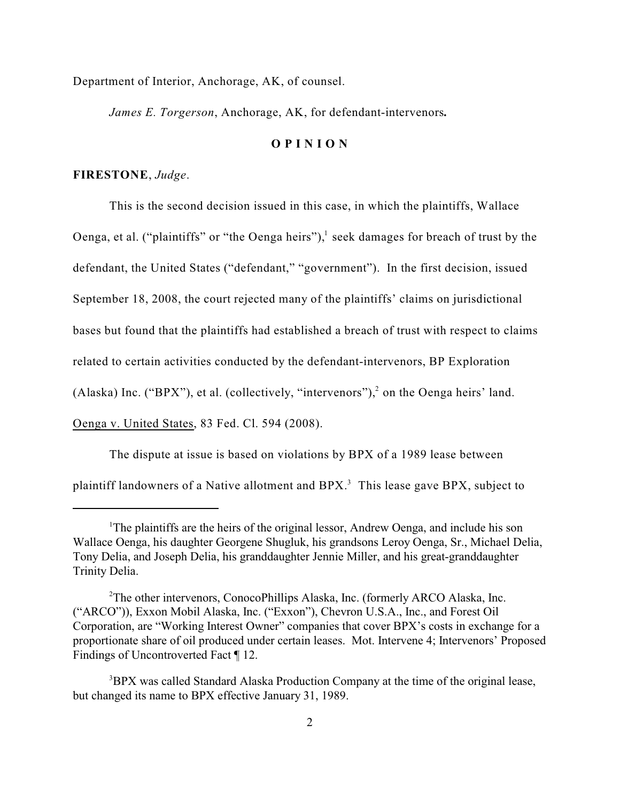Department of Interior, Anchorage, AK, of counsel.

*James E. Torgerson*, Anchorage, AK, for defendant-intervenors*.*

#### **O P I N I O N**

#### **FIRESTONE**, *Judge*.

This is the second decision issued in this case, in which the plaintiffs, Wallace Oenga, et al. ("plaintiffs" or "the Oenga heirs"), $^1$  seek damages for breach of trust by the defendant, the United States ("defendant," "government"). In the first decision, issued September 18, 2008, the court rejected many of the plaintiffs' claims on jurisdictional bases but found that the plaintiffs had established a breach of trust with respect to claims related to certain activities conducted by the defendant-intervenors, BP Exploration (Alaska) Inc. ("BPX"), et al. (collectively, "intervenors"), $^2$  on the Oenga heirs' land. Oenga v. United States, 83 Fed. Cl. 594 (2008).

The dispute at issue is based on violations by BPX of a 1989 lease between

plaintiff landowners of a Native allotment and BPX. $^3$  This lease gave BPX, subject to

<sup>&</sup>lt;sup>1</sup>The plaintiffs are the heirs of the original lessor, Andrew Oenga, and include his son Wallace Oenga, his daughter Georgene Shugluk, his grandsons Leroy Oenga, Sr., Michael Delia, Tony Delia, and Joseph Delia, his granddaughter Jennie Miller, and his great-granddaughter Trinity Delia.

<sup>&</sup>lt;sup>2</sup>The other intervenors, ConocoPhillips Alaska, Inc. (formerly ARCO Alaska, Inc. ("ARCO")), Exxon Mobil Alaska, Inc. ("Exxon"), Chevron U.S.A., Inc., and Forest Oil Corporation, are "Working Interest Owner" companies that cover BPX's costs in exchange for a proportionate share of oil produced under certain leases. Mot. Intervene 4; Intervenors' Proposed Findings of Uncontroverted Fact ¶ 12.

<sup>&</sup>lt;sup>3</sup>BPX was called Standard Alaska Production Company at the time of the original lease, but changed its name to BPX effective January 31, 1989.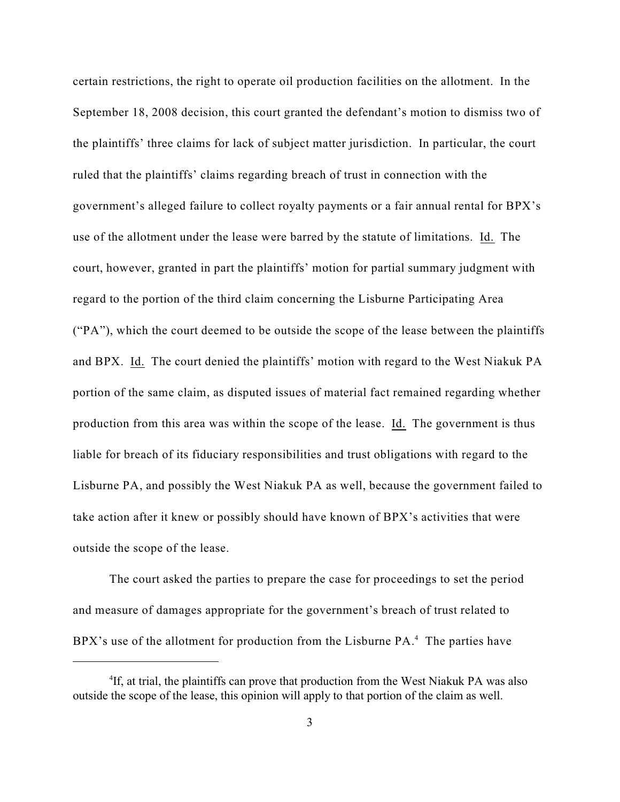certain restrictions, the right to operate oil production facilities on the allotment. In the September 18, 2008 decision, this court granted the defendant's motion to dismiss two of the plaintiffs' three claims for lack of subject matter jurisdiction. In particular, the court ruled that the plaintiffs' claims regarding breach of trust in connection with the government's alleged failure to collect royalty payments or a fair annual rental for BPX's use of the allotment under the lease were barred by the statute of limitations. Id. The court, however, granted in part the plaintiffs' motion for partial summary judgment with regard to the portion of the third claim concerning the Lisburne Participating Area ("PA"), which the court deemed to be outside the scope of the lease between the plaintiffs and BPX. Id. The court denied the plaintiffs' motion with regard to the West Niakuk PA portion of the same claim, as disputed issues of material fact remained regarding whether production from this area was within the scope of the lease. Id. The government is thus liable for breach of its fiduciary responsibilities and trust obligations with regard to the Lisburne PA, and possibly the West Niakuk PA as well, because the government failed to take action after it knew or possibly should have known of BPX's activities that were outside the scope of the lease.

The court asked the parties to prepare the case for proceedings to set the period and measure of damages appropriate for the government's breach of trust related to BPX's use of the allotment for production from the Lisburne  $PA$ .<sup>4</sup> The parties have

<sup>&</sup>lt;sup>4</sup>If, at trial, the plaintiffs can prove that production from the West Niakuk PA was also outside the scope of the lease, this opinion will apply to that portion of the claim as well.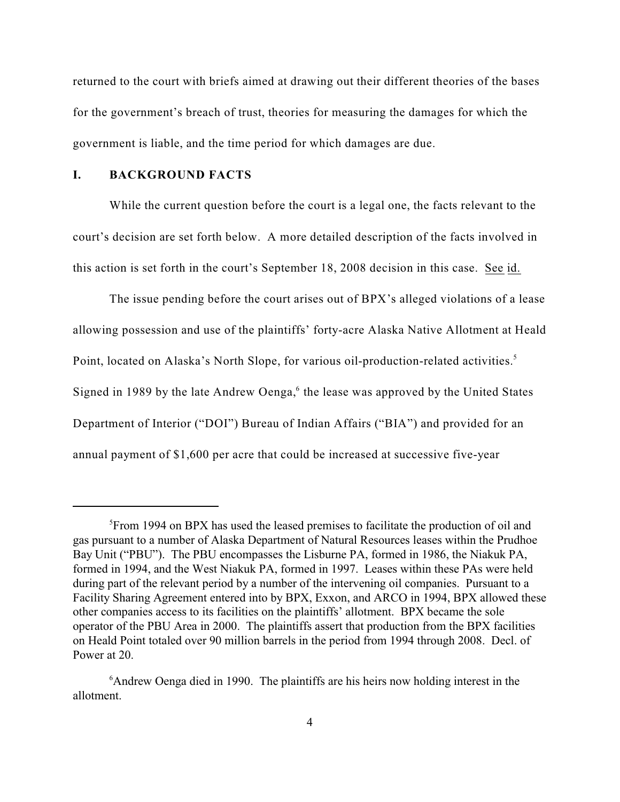returned to the court with briefs aimed at drawing out their different theories of the bases for the government's breach of trust, theories for measuring the damages for which the government is liable, and the time period for which damages are due.

## **I. BACKGROUND FACTS**

While the current question before the court is a legal one, the facts relevant to the court's decision are set forth below. A more detailed description of the facts involved in this action is set forth in the court's September 18, 2008 decision in this case. See id.

The issue pending before the court arises out of BPX's alleged violations of a lease allowing possession and use of the plaintiffs' forty-acre Alaska Native Allotment at Heald Point, located on Alaska's North Slope, for various oil-production-related activities.<sup>5</sup> Signed in 1989 by the late Andrew Oenga, $6$  the lease was approved by the United States Department of Interior ("DOI") Bureau of Indian Affairs ("BIA") and provided for an annual payment of \$1,600 per acre that could be increased at successive five-year

<sup>&</sup>lt;sup>5</sup> From 1994 on BPX has used the leased premises to facilitate the production of oil and gas pursuant to a number of Alaska Department of Natural Resources leases within the Prudhoe Bay Unit ("PBU"). The PBU encompasses the Lisburne PA, formed in 1986, the Niakuk PA, formed in 1994, and the West Niakuk PA, formed in 1997. Leases within these PAs were held during part of the relevant period by a number of the intervening oil companies. Pursuant to a Facility Sharing Agreement entered into by BPX, Exxon, and ARCO in 1994, BPX allowed these other companies access to its facilities on the plaintiffs' allotment. BPX became the sole operator of the PBU Area in 2000. The plaintiffs assert that production from the BPX facilities on Heald Point totaled over 90 million barrels in the period from 1994 through 2008. Decl. of Power at 20.

 $6$ Andrew Oenga died in 1990. The plaintiffs are his heirs now holding interest in the allotment.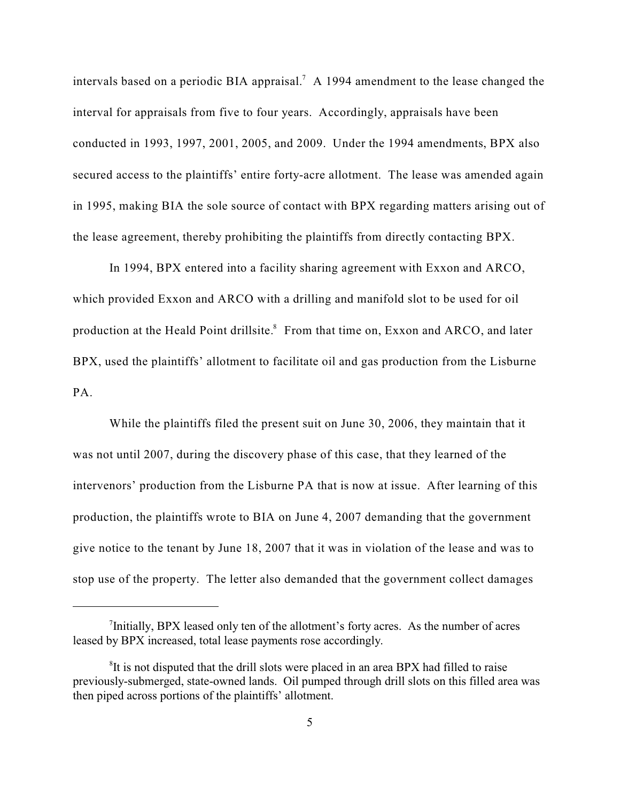intervals based on a periodic BIA appraisal.<sup>7</sup> A 1994 amendment to the lease changed the interval for appraisals from five to four years. Accordingly, appraisals have been conducted in 1993, 1997, 2001, 2005, and 2009. Under the 1994 amendments, BPX also secured access to the plaintiffs' entire forty-acre allotment. The lease was amended again in 1995, making BIA the sole source of contact with BPX regarding matters arising out of the lease agreement, thereby prohibiting the plaintiffs from directly contacting BPX.

In 1994, BPX entered into a facility sharing agreement with Exxon and ARCO, which provided Exxon and ARCO with a drilling and manifold slot to be used for oil production at the Heald Point drillsite.<sup>8</sup> From that time on, Exxon and ARCO, and later BPX, used the plaintiffs' allotment to facilitate oil and gas production from the Lisburne PA.

While the plaintiffs filed the present suit on June 30, 2006, they maintain that it was not until 2007, during the discovery phase of this case, that they learned of the intervenors' production from the Lisburne PA that is now at issue. After learning of this production, the plaintiffs wrote to BIA on June 4, 2007 demanding that the government give notice to the tenant by June 18, 2007 that it was in violation of the lease and was to stop use of the property. The letter also demanded that the government collect damages

 $\textsuperscript{7}$ Initially, BPX leased only ten of the allotment's forty acres. As the number of acres leased by BPX increased, total lease payments rose accordingly.

<sup>&</sup>lt;sup>8</sup>It is not disputed that the drill slots were placed in an area BPX had filled to raise previously-submerged, state-owned lands. Oil pumped through drill slots on this filled area was then piped across portions of the plaintiffs' allotment.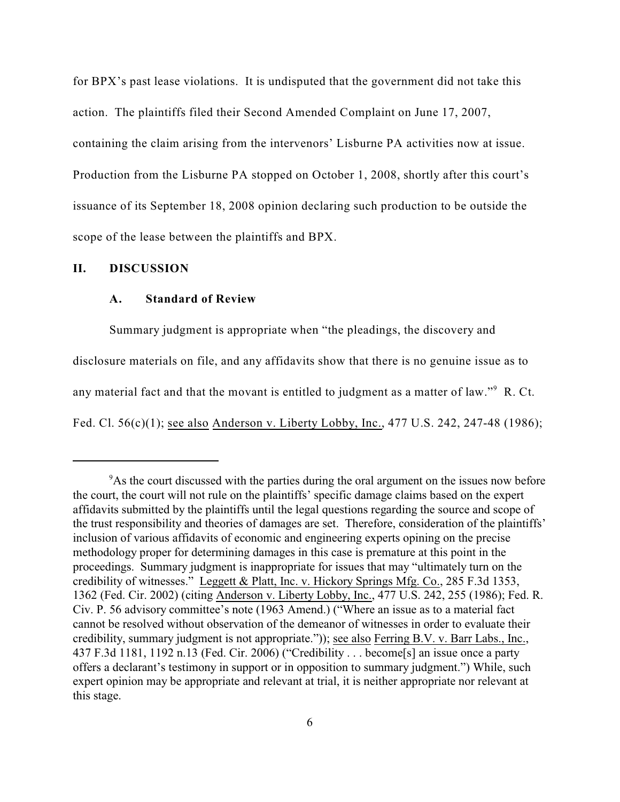for BPX's past lease violations. It is undisputed that the government did not take this action. The plaintiffs filed their Second Amended Complaint on June 17, 2007, containing the claim arising from the intervenors' Lisburne PA activities now at issue. Production from the Lisburne PA stopped on October 1, 2008, shortly after this court's issuance of its September 18, 2008 opinion declaring such production to be outside the scope of the lease between the plaintiffs and BPX.

## **II. DISCUSSION**

#### **A. Standard of Review**

Summary judgment is appropriate when "the pleadings, the discovery and disclosure materials on file, and any affidavits show that there is no genuine issue as to any material fact and that the movant is entitled to judgment as a matter of law." $9$  R. Ct. Fed. Cl. 56(c)(1); see also Anderson v. Liberty Lobby, Inc., 477 U.S. 242, 247-48 (1986);

<sup>&</sup>lt;sup>9</sup>As the court discussed with the parties during the oral argument on the issues now before the court, the court will not rule on the plaintiffs' specific damage claims based on the expert affidavits submitted by the plaintiffs until the legal questions regarding the source and scope of the trust responsibility and theories of damages are set. Therefore, consideration of the plaintiffs' inclusion of various affidavits of economic and engineering experts opining on the precise methodology proper for determining damages in this case is premature at this point in the proceedings. Summary judgment is inappropriate for issues that may "ultimately turn on the credibility of witnesses." Leggett & Platt, Inc. v. Hickory Springs Mfg. Co., 285 F.3d 1353, 1362 (Fed. Cir. 2002) (citing Anderson v. Liberty Lobby, Inc., 477 U.S. 242, 255 (1986); Fed. R. Civ. P. 56 advisory committee's note (1963 Amend.) ("Where an issue as to a material fact cannot be resolved without observation of the demeanor of witnesses in order to evaluate their credibility, summary judgment is not appropriate.")); see also Ferring B.V. v. Barr Labs., Inc., 437 F.3d 1181, 1192 n.13 (Fed. Cir. 2006) ("Credibility . . . become[s] an issue once a party offers a declarant's testimony in support or in opposition to summary judgment.") While, such expert opinion may be appropriate and relevant at trial, it is neither appropriate nor relevant at this stage.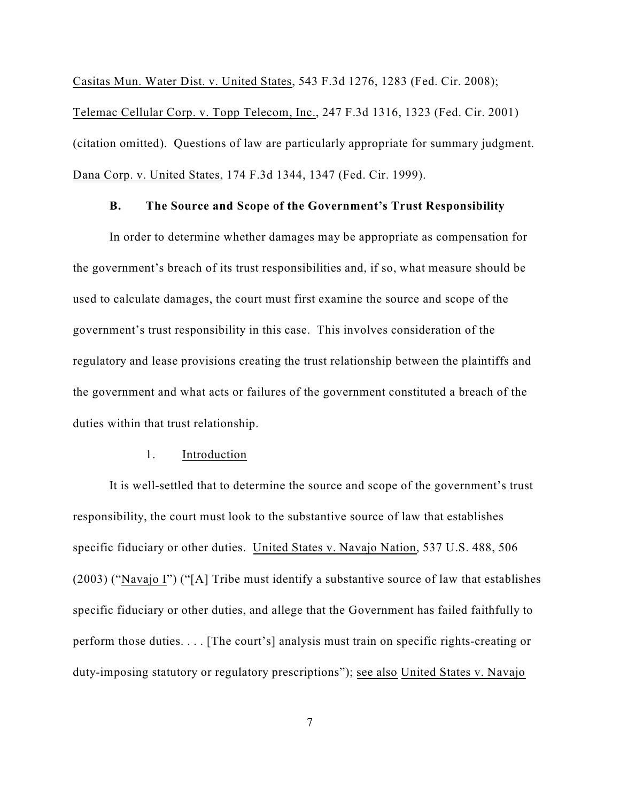Casitas Mun. Water Dist. v. United States, 543 F.3d 1276, 1283 (Fed. Cir. 2008); Telemac Cellular Corp. v. Topp Telecom, Inc., 247 F.3d 1316, 1323 (Fed. Cir. 2001) (citation omitted). Questions of law are particularly appropriate for summary judgment. Dana Corp. v. United States, 174 F.3d 1344, 1347 (Fed. Cir. 1999).

### **B. The Source and Scope of the Government's Trust Responsibility**

In order to determine whether damages may be appropriate as compensation for the government's breach of its trust responsibilities and, if so, what measure should be used to calculate damages, the court must first examine the source and scope of the government's trust responsibility in this case. This involves consideration of the regulatory and lease provisions creating the trust relationship between the plaintiffs and the government and what acts or failures of the government constituted a breach of the duties within that trust relationship.

### 1. Introduction

It is well-settled that to determine the source and scope of the government's trust responsibility, the court must look to the substantive source of law that establishes specific fiduciary or other duties. United States v. Navajo Nation, 537 U.S. 488, 506 (2003) ("Navajo I") ("[A] Tribe must identify a substantive source of law that establishes specific fiduciary or other duties, and allege that the Government has failed faithfully to perform those duties. . . . [The court's] analysis must train on specific rights-creating or duty-imposing statutory or regulatory prescriptions"); see also United States v. Navajo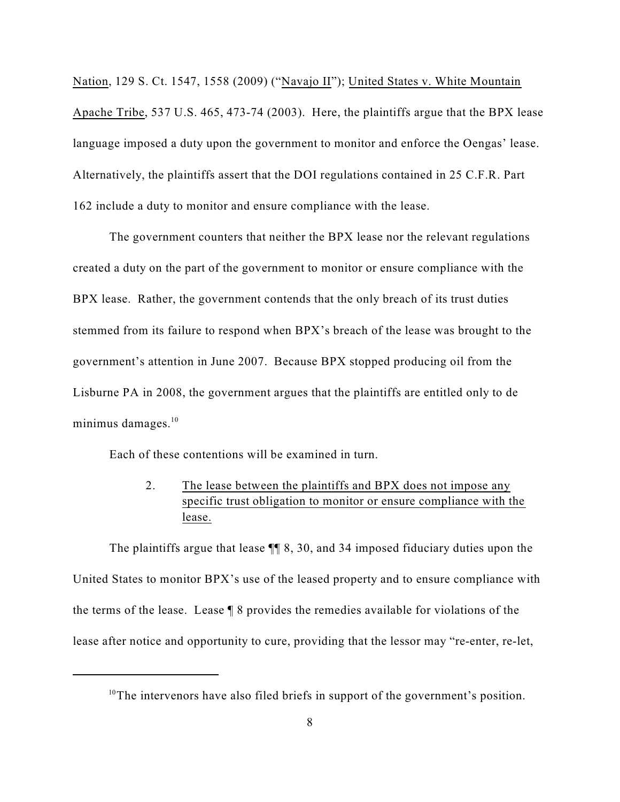Nation, 129 S. Ct. 1547, 1558 (2009) ("Navajo II"); United States v. White Mountain Apache Tribe, 537 U.S. 465, 473-74 (2003). Here, the plaintiffs argue that the BPX lease language imposed a duty upon the government to monitor and enforce the Oengas' lease. Alternatively, the plaintiffs assert that the DOI regulations contained in 25 C.F.R. Part 162 include a duty to monitor and ensure compliance with the lease.

The government counters that neither the BPX lease nor the relevant regulations created a duty on the part of the government to monitor or ensure compliance with the BPX lease. Rather, the government contends that the only breach of its trust duties stemmed from its failure to respond when BPX's breach of the lease was brought to the government's attention in June 2007. Because BPX stopped producing oil from the Lisburne PA in 2008, the government argues that the plaintiffs are entitled only to de minimus damages.<sup>10</sup>

Each of these contentions will be examined in turn.

# 2. The lease between the plaintiffs and BPX does not impose any specific trust obligation to monitor or ensure compliance with the lease.

The plaintiffs argue that lease ¶¶ 8, 30, and 34 imposed fiduciary duties upon the United States to monitor BPX's use of the leased property and to ensure compliance with the terms of the lease. Lease ¶ 8 provides the remedies available for violations of the lease after notice and opportunity to cure, providing that the lessor may "re-enter, re-let,

 $10$ <sup>10</sup>The intervenors have also filed briefs in support of the government's position.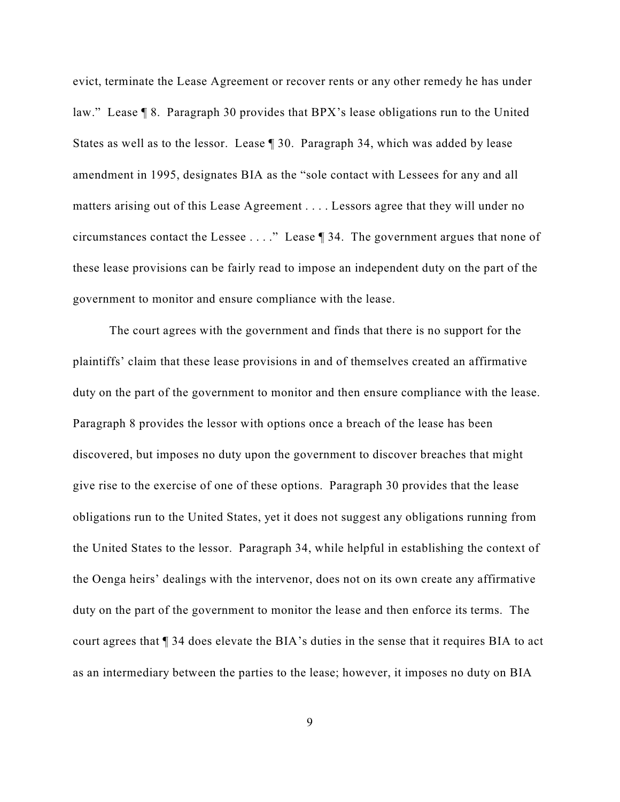evict, terminate the Lease Agreement or recover rents or any other remedy he has under law." Lease ¶ 8. Paragraph 30 provides that BPX's lease obligations run to the United States as well as to the lessor. Lease ¶ 30. Paragraph 34, which was added by lease amendment in 1995, designates BIA as the "sole contact with Lessees for any and all matters arising out of this Lease Agreement . . . . Lessors agree that they will under no circumstances contact the Lessee . . . ." Lease ¶ 34. The government argues that none of these lease provisions can be fairly read to impose an independent duty on the part of the government to monitor and ensure compliance with the lease.

The court agrees with the government and finds that there is no support for the plaintiffs' claim that these lease provisions in and of themselves created an affirmative duty on the part of the government to monitor and then ensure compliance with the lease. Paragraph 8 provides the lessor with options once a breach of the lease has been discovered, but imposes no duty upon the government to discover breaches that might give rise to the exercise of one of these options. Paragraph 30 provides that the lease obligations run to the United States, yet it does not suggest any obligations running from the United States to the lessor. Paragraph 34, while helpful in establishing the context of the Oenga heirs' dealings with the intervenor, does not on its own create any affirmative duty on the part of the government to monitor the lease and then enforce its terms. The court agrees that ¶ 34 does elevate the BIA's duties in the sense that it requires BIA to act as an intermediary between the parties to the lease; however, it imposes no duty on BIA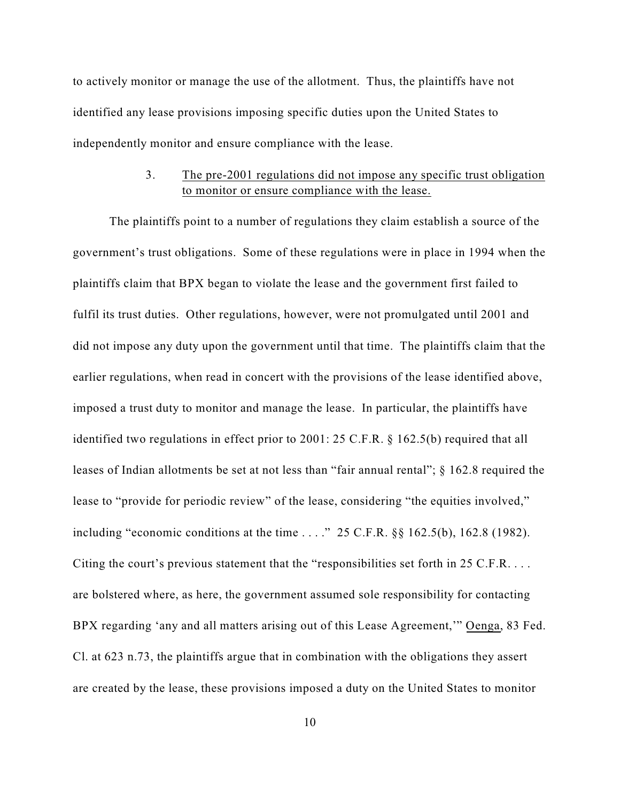to actively monitor or manage the use of the allotment. Thus, the plaintiffs have not identified any lease provisions imposing specific duties upon the United States to independently monitor and ensure compliance with the lease.

# 3. The pre-2001 regulations did not impose any specific trust obligation to monitor or ensure compliance with the lease.

The plaintiffs point to a number of regulations they claim establish a source of the government's trust obligations. Some of these regulations were in place in 1994 when the plaintiffs claim that BPX began to violate the lease and the government first failed to fulfil its trust duties. Other regulations, however, were not promulgated until 2001 and did not impose any duty upon the government until that time. The plaintiffs claim that the earlier regulations, when read in concert with the provisions of the lease identified above, imposed a trust duty to monitor and manage the lease. In particular, the plaintiffs have identified two regulations in effect prior to 2001: 25 C.F.R. § 162.5(b) required that all leases of Indian allotments be set at not less than "fair annual rental"; § 162.8 required the lease to "provide for periodic review" of the lease, considering "the equities involved," including "economic conditions at the time . . . ." 25 C.F.R. §§ 162.5(b), 162.8 (1982). Citing the court's previous statement that the "responsibilities set forth in 25 C.F.R. . . . are bolstered where, as here, the government assumed sole responsibility for contacting BPX regarding 'any and all matters arising out of this Lease Agreement,'" Oenga, 83 Fed. Cl. at 623 n.73, the plaintiffs argue that in combination with the obligations they assert are created by the lease, these provisions imposed a duty on the United States to monitor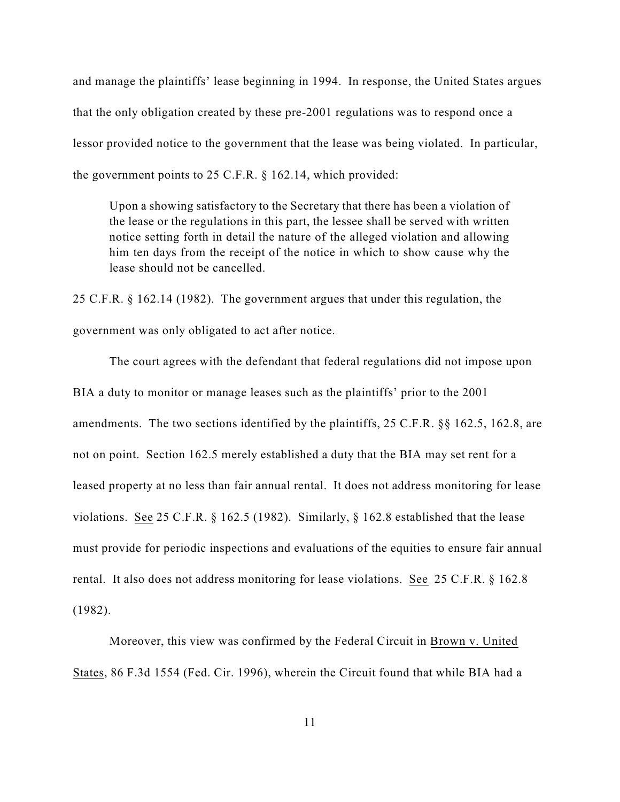and manage the plaintiffs' lease beginning in 1994. In response, the United States argues that the only obligation created by these pre-2001 regulations was to respond once a lessor provided notice to the government that the lease was being violated. In particular, the government points to 25 C.F.R. § 162.14, which provided:

Upon a showing satisfactory to the Secretary that there has been a violation of the lease or the regulations in this part, the lessee shall be served with written notice setting forth in detail the nature of the alleged violation and allowing him ten days from the receipt of the notice in which to show cause why the lease should not be cancelled.

25 C.F.R. § 162.14 (1982). The government argues that under this regulation, the government was only obligated to act after notice.

The court agrees with the defendant that federal regulations did not impose upon BIA a duty to monitor or manage leases such as the plaintiffs' prior to the 2001 amendments. The two sections identified by the plaintiffs, 25 C.F.R. §§ 162.5, 162.8, are not on point. Section 162.5 merely established a duty that the BIA may set rent for a leased property at no less than fair annual rental. It does not address monitoring for lease violations. See 25 C.F.R. § 162.5 (1982). Similarly, § 162.8 established that the lease must provide for periodic inspections and evaluations of the equities to ensure fair annual rental. It also does not address monitoring for lease violations. See 25 C.F.R. § 162.8 (1982).

Moreover, this view was confirmed by the Federal Circuit in Brown v. United States, 86 F.3d 1554 (Fed. Cir. 1996), wherein the Circuit found that while BIA had a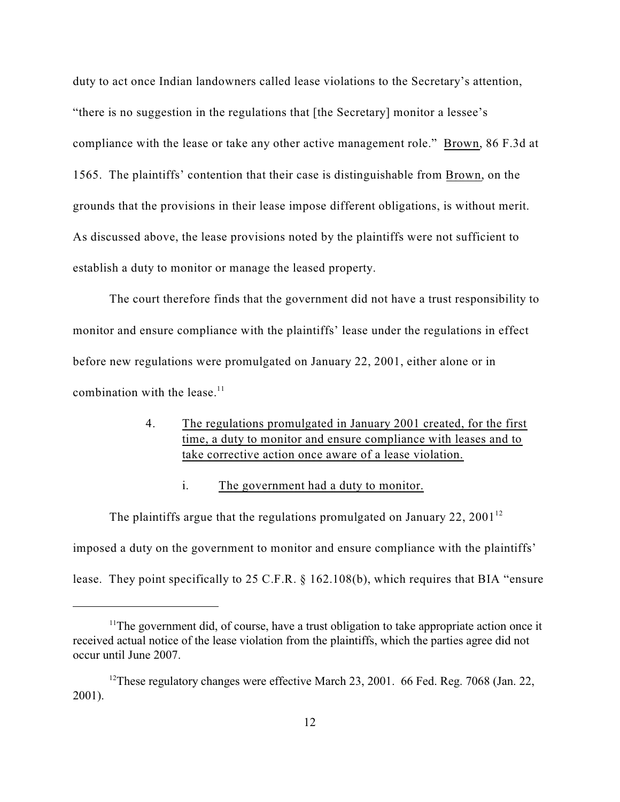duty to act once Indian landowners called lease violations to the Secretary's attention, "there is no suggestion in the regulations that [the Secretary] monitor a lessee's compliance with the lease or take any other active management role." Brown, 86 F.3d at 1565. The plaintiffs' contention that their case is distinguishable from Brown, on the grounds that the provisions in their lease impose different obligations, is without merit. As discussed above, the lease provisions noted by the plaintiffs were not sufficient to establish a duty to monitor or manage the leased property.

The court therefore finds that the government did not have a trust responsibility to monitor and ensure compliance with the plaintiffs' lease under the regulations in effect before new regulations were promulgated on January 22, 2001, either alone or in combination with the lease.<sup>11</sup>

# 4. The regulations promulgated in January 2001 created, for the first time, a duty to monitor and ensure compliance with leases and to take corrective action once aware of a lease violation.

i. The government had a duty to monitor.

The plaintiffs argue that the regulations promulgated on January 22, 2001<sup>12</sup> imposed a duty on the government to monitor and ensure compliance with the plaintiffs' lease. They point specifically to 25 C.F.R. § 162.108(b), which requires that BIA "ensure

 $11$ <sup>The</sup> government did, of course, have a trust obligation to take appropriate action once it received actual notice of the lease violation from the plaintiffs, which the parties agree did not occur until June 2007.

<sup>&</sup>lt;sup>12</sup>These regulatory changes were effective March 23, 2001. 66 Fed. Reg. 7068 (Jan. 22, 2001).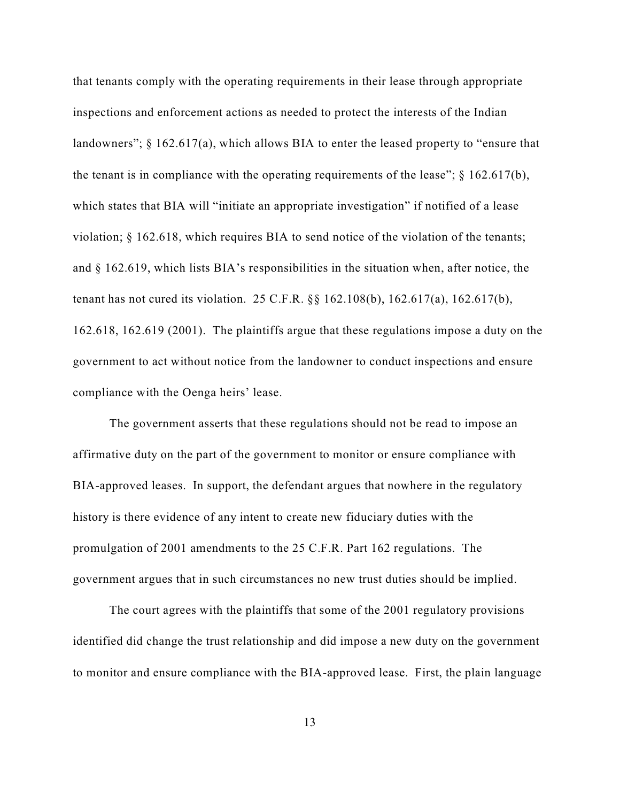that tenants comply with the operating requirements in their lease through appropriate inspections and enforcement actions as needed to protect the interests of the Indian landowners"; § 162.617(a), which allows BIA to enter the leased property to "ensure that the tenant is in compliance with the operating requirements of the lease";  $\S$  162.617(b), which states that BIA will "initiate an appropriate investigation" if notified of a lease violation; § 162.618, which requires BIA to send notice of the violation of the tenants; and § 162.619, which lists BIA's responsibilities in the situation when, after notice, the tenant has not cured its violation. 25 C.F.R. §§ 162.108(b), 162.617(a), 162.617(b), 162.618, 162.619 (2001). The plaintiffs argue that these regulations impose a duty on the government to act without notice from the landowner to conduct inspections and ensure compliance with the Oenga heirs' lease.

The government asserts that these regulations should not be read to impose an affirmative duty on the part of the government to monitor or ensure compliance with BIA-approved leases. In support, the defendant argues that nowhere in the regulatory history is there evidence of any intent to create new fiduciary duties with the promulgation of 2001 amendments to the 25 C.F.R. Part 162 regulations. The government argues that in such circumstances no new trust duties should be implied.

The court agrees with the plaintiffs that some of the 2001 regulatory provisions identified did change the trust relationship and did impose a new duty on the government to monitor and ensure compliance with the BIA-approved lease. First, the plain language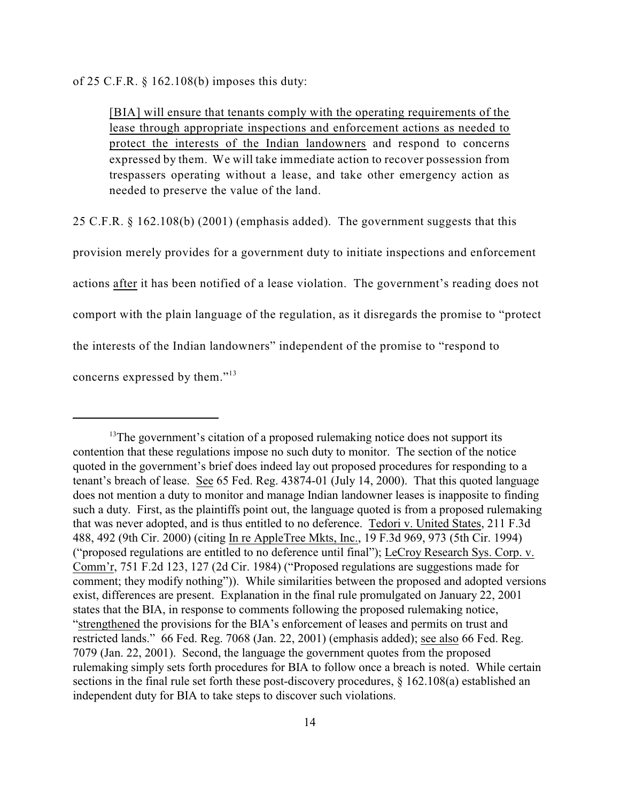of 25 C.F.R. § 162.108(b) imposes this duty:

[BIA] will ensure that tenants comply with the operating requirements of the lease through appropriate inspections and enforcement actions as needed to protect the interests of the Indian landowners and respond to concerns expressed by them. We will take immediate action to recover possession from trespassers operating without a lease, and take other emergency action as needed to preserve the value of the land.

25 C.F.R. § 162.108(b) (2001) (emphasis added). The government suggests that this

provision merely provides for a government duty to initiate inspections and enforcement actions after it has been notified of a lease violation. The government's reading does not comport with the plain language of the regulation, as it disregards the promise to "protect the interests of the Indian landowners" independent of the promise to "respond to concerns expressed by them."<sup>13</sup>

 $13$ <sup>13</sup>The government's citation of a proposed rulemaking notice does not support its contention that these regulations impose no such duty to monitor. The section of the notice quoted in the government's brief does indeed lay out proposed procedures for responding to a tenant's breach of lease. See 65 Fed. Reg. 43874-01 (July 14, 2000). That this quoted language does not mention a duty to monitor and manage Indian landowner leases is inapposite to finding such a duty. First, as the plaintiffs point out, the language quoted is from a proposed rulemaking that was never adopted, and is thus entitled to no deference. Tedori v. United States, 211 F.3d 488, 492 (9th Cir. 2000) (citing In re AppleTree Mkts, Inc., 19 F.3d 969, 973 (5th Cir. 1994) ("proposed regulations are entitled to no deference until final"); LeCroy Research Sys. Corp. v. Comm'r, 751 F.2d 123, 127 (2d Cir. 1984) ("Proposed regulations are suggestions made for comment; they modify nothing")). While similarities between the proposed and adopted versions exist, differences are present. Explanation in the final rule promulgated on January 22, 2001 states that the BIA, in response to comments following the proposed rulemaking notice, "strengthened the provisions for the BIA's enforcement of leases and permits on trust and restricted lands." 66 Fed. Reg. 7068 (Jan. 22, 2001) (emphasis added); see also 66 Fed. Reg. 7079 (Jan. 22, 2001). Second, the language the government quotes from the proposed rulemaking simply sets forth procedures for BIA to follow once a breach is noted. While certain sections in the final rule set forth these post-discovery procedures, § 162.108(a) established an independent duty for BIA to take steps to discover such violations.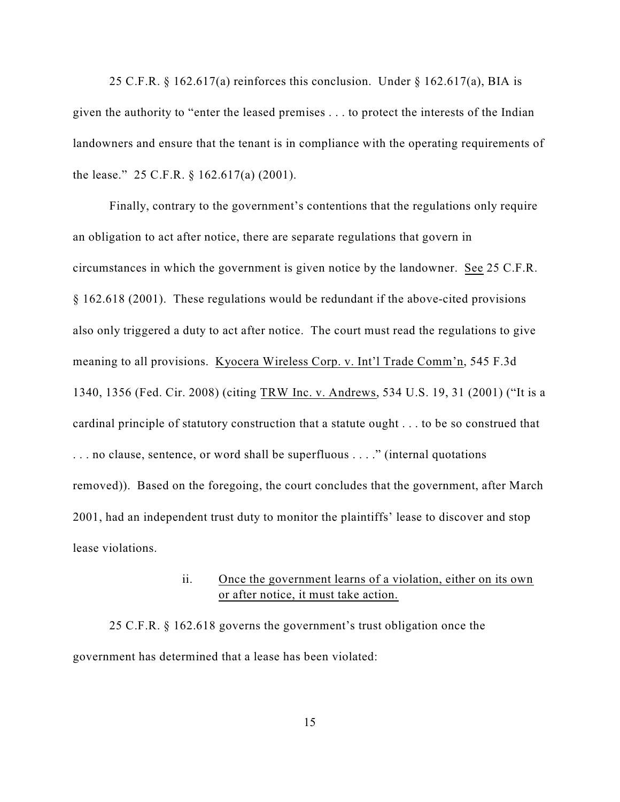25 C.F.R. § 162.617(a) reinforces this conclusion. Under § 162.617(a), BIA is given the authority to "enter the leased premises . . . to protect the interests of the Indian landowners and ensure that the tenant is in compliance with the operating requirements of the lease." 25 C.F.R. § 162.617(a) (2001).

Finally, contrary to the government's contentions that the regulations only require an obligation to act after notice, there are separate regulations that govern in circumstances in which the government is given notice by the landowner. See 25 C.F.R. § 162.618 (2001). These regulations would be redundant if the above-cited provisions also only triggered a duty to act after notice. The court must read the regulations to give meaning to all provisions. Kyocera Wireless Corp. v. Int'l Trade Comm'n, 545 F.3d 1340, 1356 (Fed. Cir. 2008) (citing TRW Inc. v. Andrews, 534 U.S. 19, 31 (2001) ("It is a cardinal principle of statutory construction that a statute ought . . . to be so construed that . . . no clause, sentence, or word shall be superfluous . . . ." (internal quotations removed)). Based on the foregoing, the court concludes that the government, after March 2001, had an independent trust duty to monitor the plaintiffs' lease to discover and stop lease violations.

## ii. Once the government learns of a violation, either on its own or after notice, it must take action.

25 C.F.R. § 162.618 governs the government's trust obligation once the government has determined that a lease has been violated: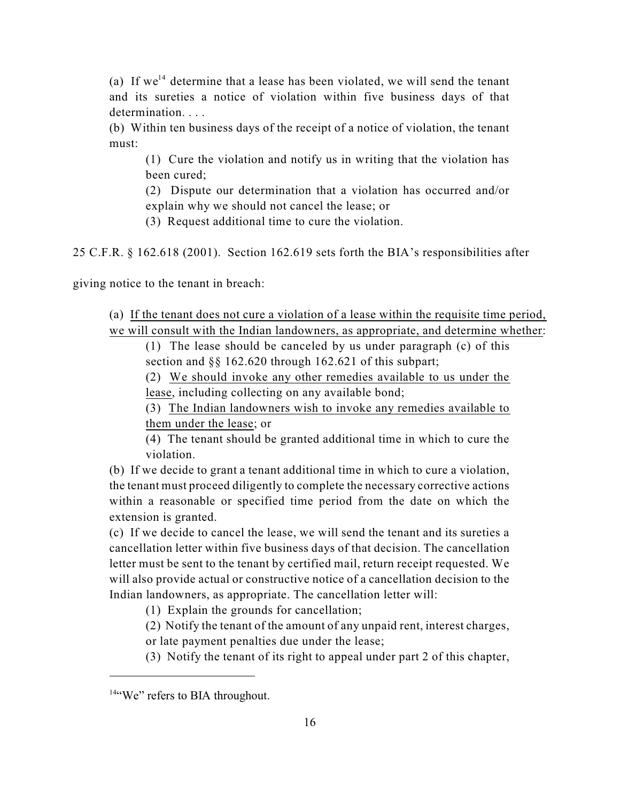(a) If  $we^{14}$  determine that a lease has been violated, we will send the tenant and its sureties a notice of violation within five business days of that determination. . . .

(b) Within ten business days of the receipt of a notice of violation, the tenant must:

(1) Cure the violation and notify us in writing that the violation has been cured;

(2) Dispute our determination that a violation has occurred and/or explain why we should not cancel the lease; or

(3) Request additional time to cure the violation.

25 C.F.R. § 162.618 (2001). Section 162.619 sets forth the BIA's responsibilities after

giving notice to the tenant in breach:

(a) If the tenant does not cure a violation of a lease within the requisite time period,

we will consult with the Indian landowners, as appropriate, and determine whether:

(1) The lease should be canceled by us under paragraph (c) of this section and §§ 162.620 through 162.621 of this subpart;

(2) We should invoke any other remedies available to us under the lease, including collecting on any available bond;

(3) The Indian landowners wish to invoke any remedies available to them under the lease; or

(4) The tenant should be granted additional time in which to cure the violation.

(b) If we decide to grant a tenant additional time in which to cure a violation, the tenant must proceed diligently to complete the necessary corrective actions within a reasonable or specified time period from the date on which the extension is granted.

(c) If we decide to cancel the lease, we will send the tenant and its sureties a cancellation letter within five business days of that decision. The cancellation letter must be sent to the tenant by certified mail, return receipt requested. We will also provide actual or constructive notice of a cancellation decision to the Indian landowners, as appropriate. The cancellation letter will:

(1) Explain the grounds for cancellation;

(2) Notify the tenant of the amount of any unpaid rent, interest charges, or late payment penalties due under the lease;

(3) Notify the tenant of its right to appeal under part 2 of this chapter,

 $144$  We" refers to BIA throughout.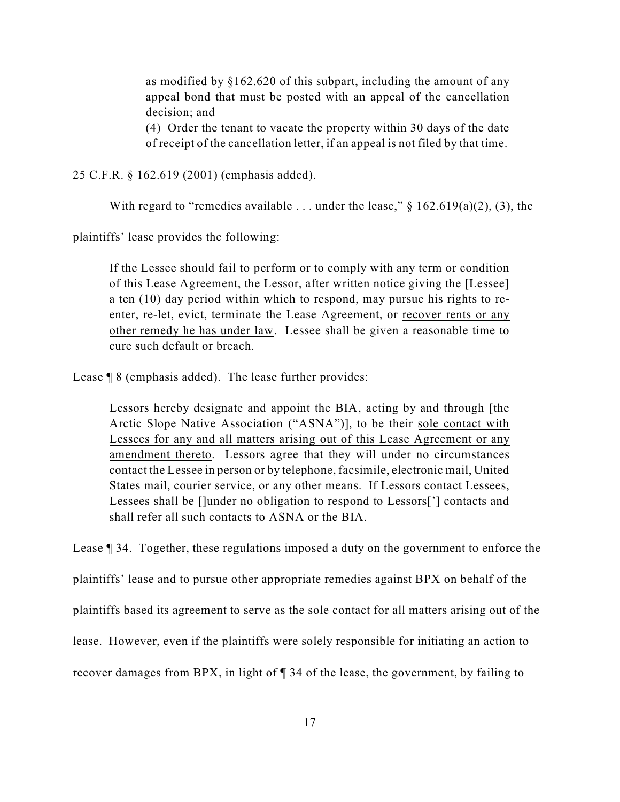as modified by §162.620 of this subpart, including the amount of any appeal bond that must be posted with an appeal of the cancellation decision; and

(4) Order the tenant to vacate the property within 30 days of the date of receipt of the cancellation letter, if an appeal is not filed by that time.

25 C.F.R. § 162.619 (2001) (emphasis added).

With regard to "remedies available ... under the lease,"  $\S$  162.619(a)(2), (3), the

plaintiffs' lease provides the following:

If the Lessee should fail to perform or to comply with any term or condition of this Lease Agreement, the Lessor, after written notice giving the [Lessee] a ten (10) day period within which to respond, may pursue his rights to reenter, re-let, evict, terminate the Lease Agreement, or recover rents or any other remedy he has under law. Lessee shall be given a reasonable time to cure such default or breach.

Lease ¶ 8 (emphasis added). The lease further provides:

Lessors hereby designate and appoint the BIA, acting by and through [the Arctic Slope Native Association ("ASNA")], to be their sole contact with Lessees for any and all matters arising out of this Lease Agreement or any amendment thereto. Lessors agree that they will under no circumstances contact the Lessee in person or by telephone, facsimile, electronic mail, United States mail, courier service, or any other means. If Lessors contact Lessees, Lessees shall be []under no obligation to respond to Lessors['] contacts and shall refer all such contacts to ASNA or the BIA.

Lease ¶ 34. Together, these regulations imposed a duty on the government to enforce the plaintiffs' lease and to pursue other appropriate remedies against BPX on behalf of the plaintiffs based its agreement to serve as the sole contact for all matters arising out of the lease. However, even if the plaintiffs were solely responsible for initiating an action to recover damages from BPX, in light of ¶ 34 of the lease, the government, by failing to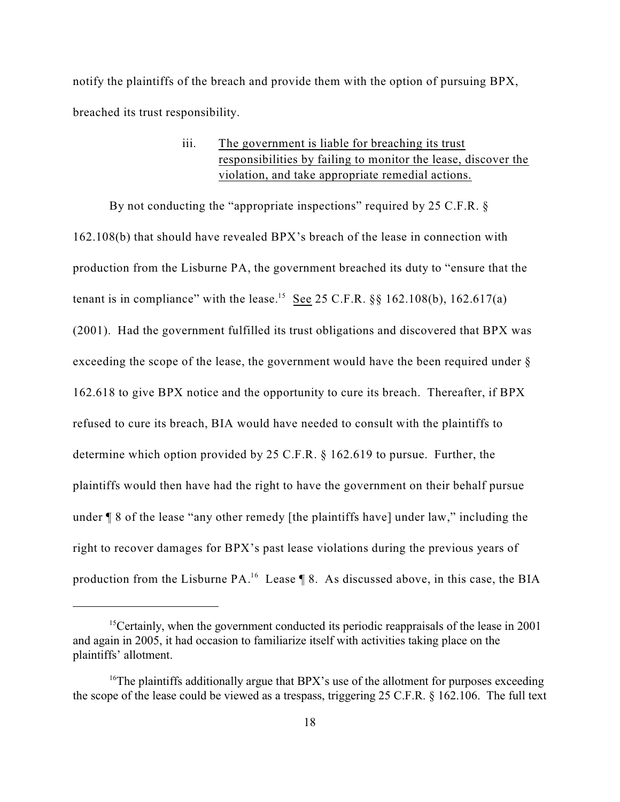notify the plaintiffs of the breach and provide them with the option of pursuing BPX, breached its trust responsibility.

> iii. The government is liable for breaching its trust responsibilities by failing to monitor the lease, discover the violation, and take appropriate remedial actions.

By not conducting the "appropriate inspections" required by 25 C.F.R. § 162.108(b) that should have revealed BPX's breach of the lease in connection with production from the Lisburne PA, the government breached its duty to "ensure that the tenant is in compliance" with the lease.<sup>15</sup> See 25 C.F.R.  $\S$ § 162.108(b), 162.617(a) (2001). Had the government fulfilled its trust obligations and discovered that BPX was exceeding the scope of the lease, the government would have the been required under § 162.618 to give BPX notice and the opportunity to cure its breach. Thereafter, if BPX refused to cure its breach, BIA would have needed to consult with the plaintiffs to determine which option provided by 25 C.F.R. § 162.619 to pursue. Further, the plaintiffs would then have had the right to have the government on their behalf pursue under ¶ 8 of the lease "any other remedy [the plaintiffs have] under law," including the right to recover damages for BPX's past lease violations during the previous years of production from the Lisburne  $PA.^{16}$  Lease  $\P$  8. As discussed above, in this case, the BIA

<sup>&</sup>lt;sup>15</sup> Certainly, when the government conducted its periodic reappraisals of the lease in 2001 and again in 2005, it had occasion to familiarize itself with activities taking place on the plaintiffs' allotment.

<sup>&</sup>lt;sup>16</sup>The plaintiffs additionally argue that BPX's use of the allotment for purposes exceeding the scope of the lease could be viewed as a trespass, triggering 25 C.F.R. § 162.106. The full text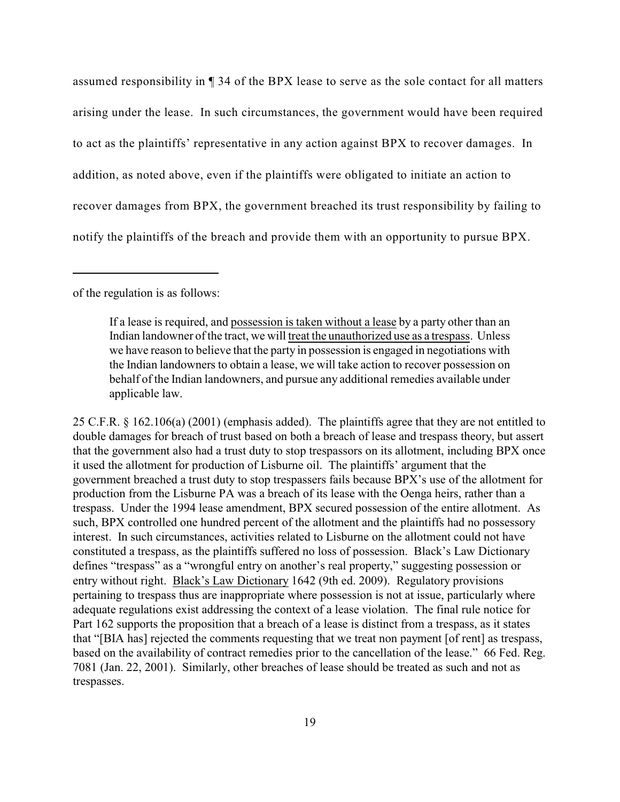assumed responsibility in ¶ 34 of the BPX lease to serve as the sole contact for all matters arising under the lease. In such circumstances, the government would have been required to act as the plaintiffs' representative in any action against BPX to recover damages. In addition, as noted above, even if the plaintiffs were obligated to initiate an action to recover damages from BPX, the government breached its trust responsibility by failing to notify the plaintiffs of the breach and provide them with an opportunity to pursue BPX.

of the regulation is as follows:

If a lease is required, and possession is taken without a lease by a party other than an Indian landowner of the tract, we will treat the unauthorized use as a trespass. Unless we have reason to believe that the party in possession is engaged in negotiations with the Indian landowners to obtain a lease, we will take action to recover possession on behalf of the Indian landowners, and pursue any additional remedies available under applicable law.

25 C.F.R. § 162.106(a) (2001) (emphasis added). The plaintiffs agree that they are not entitled to double damages for breach of trust based on both a breach of lease and trespass theory, but assert that the government also had a trust duty to stop trespassors on its allotment, including BPX once it used the allotment for production of Lisburne oil. The plaintiffs' argument that the government breached a trust duty to stop trespassers fails because BPX's use of the allotment for production from the Lisburne PA was a breach of its lease with the Oenga heirs, rather than a trespass. Under the 1994 lease amendment, BPX secured possession of the entire allotment. As such, BPX controlled one hundred percent of the allotment and the plaintiffs had no possessory interest. In such circumstances, activities related to Lisburne on the allotment could not have constituted a trespass, as the plaintiffs suffered no loss of possession. Black's Law Dictionary defines "trespass" as a "wrongful entry on another's real property," suggesting possession or entry without right. Black's Law Dictionary 1642 (9th ed. 2009). Regulatory provisions pertaining to trespass thus are inappropriate where possession is not at issue, particularly where adequate regulations exist addressing the context of a lease violation. The final rule notice for Part 162 supports the proposition that a breach of a lease is distinct from a trespass, as it states that "[BIA has] rejected the comments requesting that we treat non payment [of rent] as trespass, based on the availability of contract remedies prior to the cancellation of the lease." 66 Fed. Reg. 7081 (Jan. 22, 2001). Similarly, other breaches of lease should be treated as such and not as trespasses.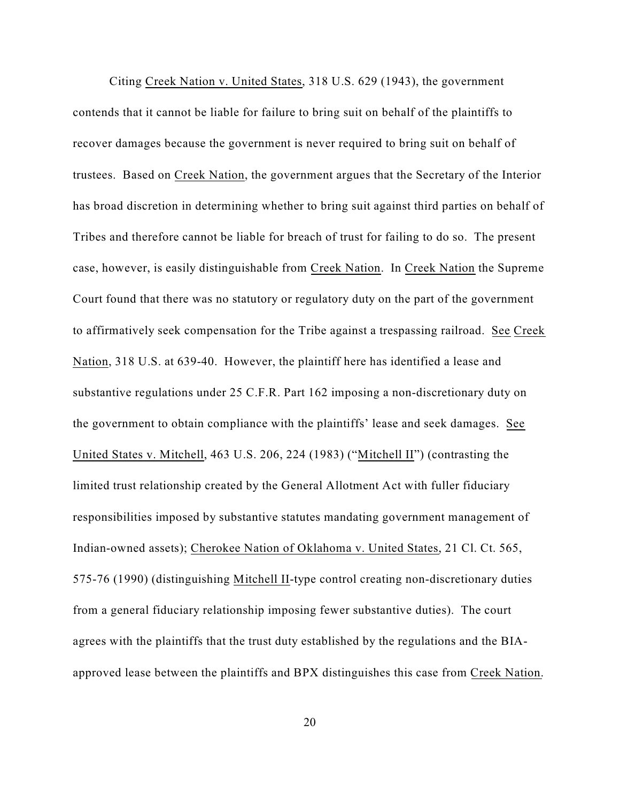Citing Creek Nation v. United States, 318 U.S. 629 (1943), the government contends that it cannot be liable for failure to bring suit on behalf of the plaintiffs to recover damages because the government is never required to bring suit on behalf of trustees. Based on Creek Nation, the government argues that the Secretary of the Interior has broad discretion in determining whether to bring suit against third parties on behalf of Tribes and therefore cannot be liable for breach of trust for failing to do so. The present case, however, is easily distinguishable from Creek Nation. In Creek Nation the Supreme Court found that there was no statutory or regulatory duty on the part of the government to affirmatively seek compensation for the Tribe against a trespassing railroad. See Creek Nation, 318 U.S. at 639-40. However, the plaintiff here has identified a lease and substantive regulations under 25 C.F.R. Part 162 imposing a non-discretionary duty on the government to obtain compliance with the plaintiffs' lease and seek damages. See United States v. Mitchell, 463 U.S. 206, 224 (1983) ("Mitchell II") (contrasting the limited trust relationship created by the General Allotment Act with fuller fiduciary responsibilities imposed by substantive statutes mandating government management of Indian-owned assets); Cherokee Nation of Oklahoma v. United States, 21 Cl. Ct. 565, 575-76 (1990) (distinguishing Mitchell II-type control creating non-discretionary duties from a general fiduciary relationship imposing fewer substantive duties). The court agrees with the plaintiffs that the trust duty established by the regulations and the BIAapproved lease between the plaintiffs and BPX distinguishes this case from Creek Nation.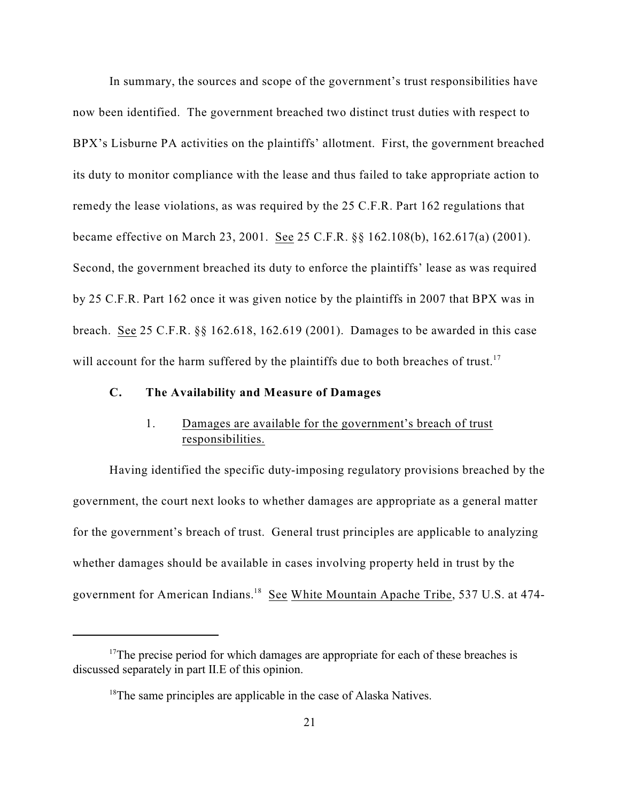In summary, the sources and scope of the government's trust responsibilities have now been identified. The government breached two distinct trust duties with respect to BPX's Lisburne PA activities on the plaintiffs' allotment. First, the government breached its duty to monitor compliance with the lease and thus failed to take appropriate action to remedy the lease violations, as was required by the 25 C.F.R. Part 162 regulations that became effective on March 23, 2001. See 25 C.F.R. §§ 162.108(b), 162.617(a) (2001). Second, the government breached its duty to enforce the plaintiffs' lease as was required by 25 C.F.R. Part 162 once it was given notice by the plaintiffs in 2007 that BPX was in breach. See 25 C.F.R. §§ 162.618, 162.619 (2001). Damages to be awarded in this case will account for the harm suffered by the plaintiffs due to both breaches of trust.<sup>17</sup>

## **C. The Availability and Measure of Damages**

# 1. Damages are available for the government's breach of trust responsibilities.

Having identified the specific duty-imposing regulatory provisions breached by the government, the court next looks to whether damages are appropriate as a general matter for the government's breach of trust. General trust principles are applicable to analyzing whether damages should be available in cases involving property held in trust by the government for American Indians.<sup>18</sup> See White Mountain Apache Tribe, 537 U.S. at 474-

 $17$ The precise period for which damages are appropriate for each of these breaches is discussed separately in part II.E of this opinion.

 $18$ <sup>18</sup>The same principles are applicable in the case of Alaska Natives.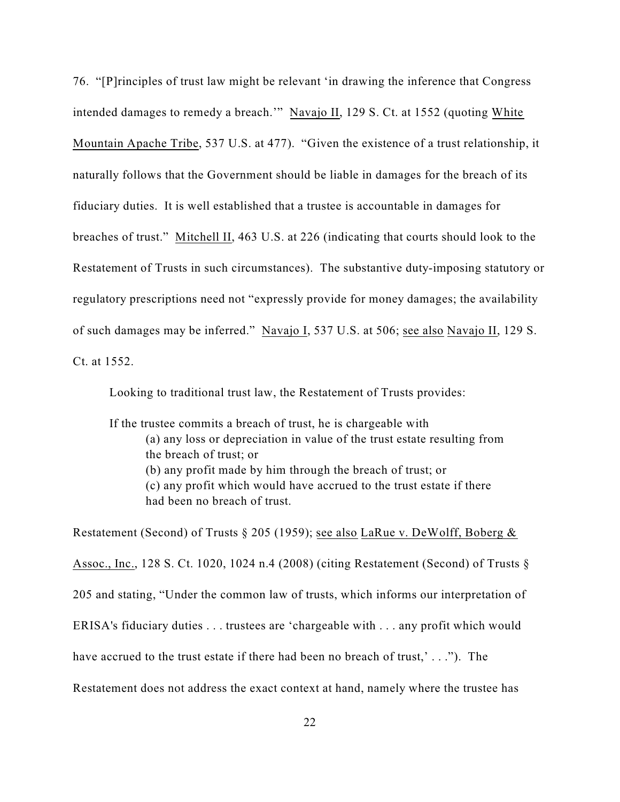76. "[P]rinciples of trust law might be relevant 'in drawing the inference that Congress intended damages to remedy a breach.'" Navajo II, 129 S. Ct. at 1552 (quoting White Mountain Apache Tribe, 537 U.S. at 477). "Given the existence of a trust relationship, it naturally follows that the Government should be liable in damages for the breach of its fiduciary duties. It is well established that a trustee is accountable in damages for breaches of trust." Mitchell II, 463 U.S. at 226 (indicating that courts should look to the Restatement of Trusts in such circumstances). The substantive duty-imposing statutory or regulatory prescriptions need not "expressly provide for money damages; the availability of such damages may be inferred." Navajo I, 537 U.S. at 506; see also Navajo II, 129 S. Ct. at 1552.

Looking to traditional trust law, the Restatement of Trusts provides:

If the trustee commits a breach of trust, he is chargeable with (a) any loss or depreciation in value of the trust estate resulting from the breach of trust; or (b) any profit made by him through the breach of trust; or (c) any profit which would have accrued to the trust estate if there had been no breach of trust.

Restatement (Second) of Trusts § 205 (1959); see also LaRue v. DeWolff, Boberg & Assoc., Inc., 128 S. Ct. 1020, 1024 n.4 (2008) (citing Restatement (Second) of Trusts § 205 and stating, "Under the common law of trusts, which informs our interpretation of ERISA's fiduciary duties . . . trustees are 'chargeable with . . . any profit which would have accrued to the trust estate if there had been no breach of trust,'..."). The Restatement does not address the exact context at hand, namely where the trustee has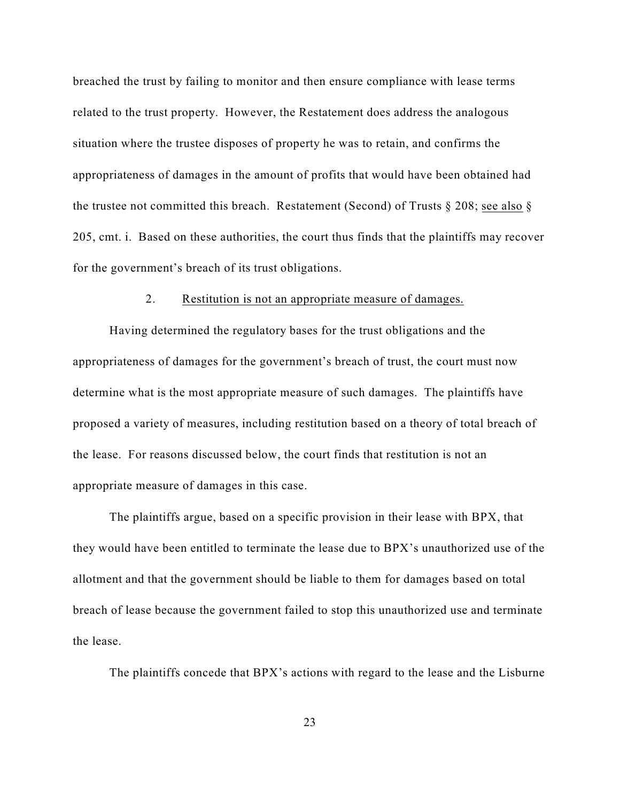breached the trust by failing to monitor and then ensure compliance with lease terms related to the trust property. However, the Restatement does address the analogous situation where the trustee disposes of property he was to retain, and confirms the appropriateness of damages in the amount of profits that would have been obtained had the trustee not committed this breach. Restatement (Second) of Trusts § 208; see also § 205, cmt. i. Based on these authorities, the court thus finds that the plaintiffs may recover for the government's breach of its trust obligations.

## 2. Restitution is not an appropriate measure of damages.

Having determined the regulatory bases for the trust obligations and the appropriateness of damages for the government's breach of trust, the court must now determine what is the most appropriate measure of such damages. The plaintiffs have proposed a variety of measures, including restitution based on a theory of total breach of the lease. For reasons discussed below, the court finds that restitution is not an appropriate measure of damages in this case.

The plaintiffs argue, based on a specific provision in their lease with BPX, that they would have been entitled to terminate the lease due to BPX's unauthorized use of the allotment and that the government should be liable to them for damages based on total breach of lease because the government failed to stop this unauthorized use and terminate the lease.

The plaintiffs concede that BPX's actions with regard to the lease and the Lisburne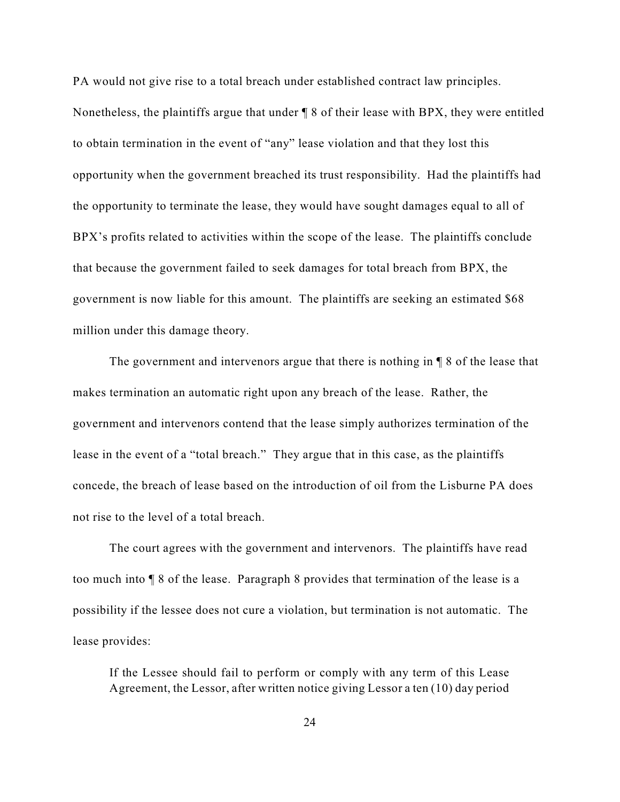PA would not give rise to a total breach under established contract law principles. Nonetheless, the plaintiffs argue that under ¶ 8 of their lease with BPX, they were entitled to obtain termination in the event of "any" lease violation and that they lost this opportunity when the government breached its trust responsibility. Had the plaintiffs had the opportunity to terminate the lease, they would have sought damages equal to all of BPX's profits related to activities within the scope of the lease. The plaintiffs conclude that because the government failed to seek damages for total breach from BPX, the government is now liable for this amount. The plaintiffs are seeking an estimated \$68 million under this damage theory.

The government and intervenors argue that there is nothing in ¶ 8 of the lease that makes termination an automatic right upon any breach of the lease. Rather, the government and intervenors contend that the lease simply authorizes termination of the lease in the event of a "total breach." They argue that in this case, as the plaintiffs concede, the breach of lease based on the introduction of oil from the Lisburne PA does not rise to the level of a total breach.

The court agrees with the government and intervenors. The plaintiffs have read too much into ¶ 8 of the lease. Paragraph 8 provides that termination of the lease is a possibility if the lessee does not cure a violation, but termination is not automatic. The lease provides:

If the Lessee should fail to perform or comply with any term of this Lease Agreement, the Lessor, after written notice giving Lessor a ten (10) day period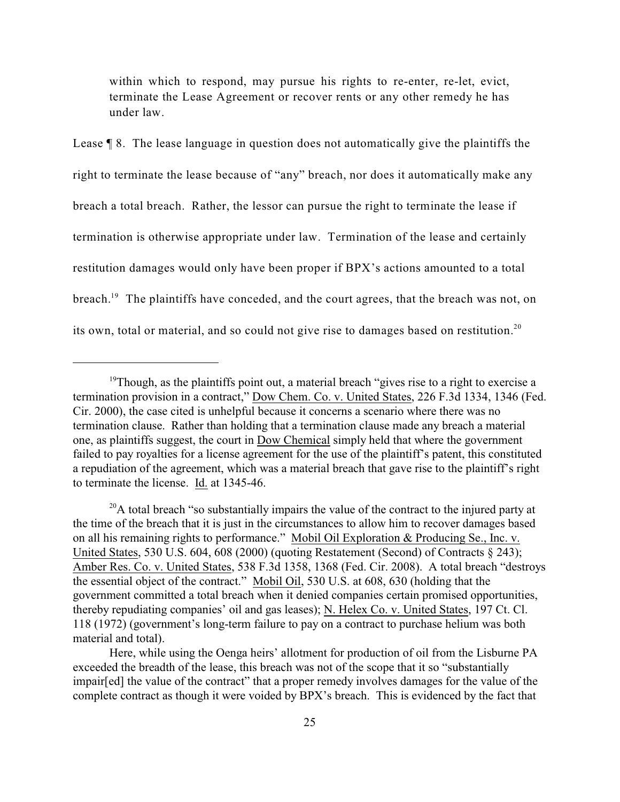within which to respond, may pursue his rights to re-enter, re-let, evict, terminate the Lease Agreement or recover rents or any other remedy he has under law.

Lease ¶ 8. The lease language in question does not automatically give the plaintiffs the right to terminate the lease because of "any" breach, nor does it automatically make any breach a total breach. Rather, the lessor can pursue the right to terminate the lease if termination is otherwise appropriate under law. Termination of the lease and certainly restitution damages would only have been proper if BPX's actions amounted to a total breach.<sup>19</sup> The plaintiffs have conceded, and the court agrees, that the breach was not, on its own, total or material, and so could not give rise to damages based on restitution.<sup>20</sup>

 $19$ Though, as the plaintiffs point out, a material breach "gives rise to a right to exercise a termination provision in a contract," Dow Chem. Co. v. United States, 226 F.3d 1334, 1346 (Fed. Cir. 2000), the case cited is unhelpful because it concerns a scenario where there was no termination clause. Rather than holding that a termination clause made any breach a material one, as plaintiffs suggest, the court in Dow Chemical simply held that where the government failed to pay royalties for a license agreement for the use of the plaintiff's patent, this constituted a repudiation of the agreement, which was a material breach that gave rise to the plaintiff's right to terminate the license. Id. at 1345-46.

 $^{20}$ A total breach "so substantially impairs the value of the contract to the injured party at the time of the breach that it is just in the circumstances to allow him to recover damages based on all his remaining rights to performance." Mobil Oil Exploration & Producing Se., Inc. v. United States, 530 U.S. 604, 608 (2000) (quoting Restatement (Second) of Contracts § 243); Amber Res. Co. v. United States, 538 F.3d 1358, 1368 (Fed. Cir. 2008). A total breach "destroys the essential object of the contract." Mobil Oil, 530 U.S. at 608, 630 (holding that the government committed a total breach when it denied companies certain promised opportunities, thereby repudiating companies' oil and gas leases); N. Helex Co. v. United States, 197 Ct. Cl. 118 (1972) (government's long-term failure to pay on a contract to purchase helium was both material and total).

Here, while using the Oenga heirs' allotment for production of oil from the Lisburne PA exceeded the breadth of the lease, this breach was not of the scope that it so "substantially impair[ed] the value of the contract" that a proper remedy involves damages for the value of the complete contract as though it were voided by BPX's breach. This is evidenced by the fact that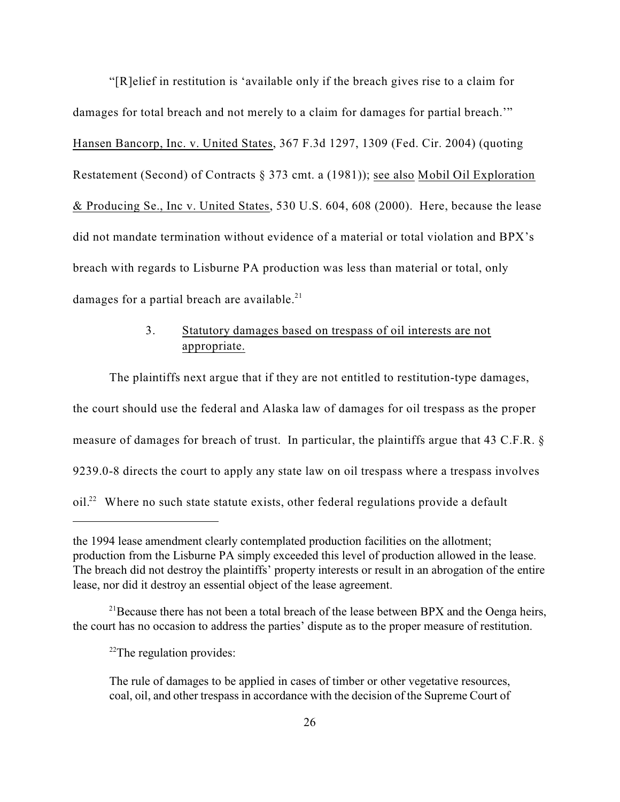"[R]elief in restitution is 'available only if the breach gives rise to a claim for damages for total breach and not merely to a claim for damages for partial breach.'" Hansen Bancorp, Inc. v. United States, 367 F.3d 1297, 1309 (Fed. Cir. 2004) (quoting Restatement (Second) of Contracts § 373 cmt. a (1981)); see also Mobil Oil Exploration & Producing Se., Inc v. United States, 530 U.S. 604, 608 (2000). Here, because the lease did not mandate termination without evidence of a material or total violation and BPX's breach with regards to Lisburne PA production was less than material or total, only damages for a partial breach are available.<sup>21</sup>

# 3. Statutory damages based on trespass of oil interests are not appropriate.

The plaintiffs next argue that if they are not entitled to restitution-type damages, the court should use the federal and Alaska law of damages for oil trespass as the proper measure of damages for breach of trust. In particular, the plaintiffs argue that 43 C.F.R. § 9239.0-8 directs the court to apply any state law on oil trespass where a trespass involves  $\delta$  oil.<sup>22</sup> Where no such state statute exists, other federal regulations provide a default

the 1994 lease amendment clearly contemplated production facilities on the allotment; production from the Lisburne PA simply exceeded this level of production allowed in the lease. The breach did not destroy the plaintiffs' property interests or result in an abrogation of the entire lease, nor did it destroy an essential object of the lease agreement.

<sup>&</sup>lt;sup>21</sup> Because there has not been a total breach of the lease between BPX and the Oenga heirs, the court has no occasion to address the parties' dispute as to the proper measure of restitution.

 $22$ The regulation provides:

The rule of damages to be applied in cases of timber or other vegetative resources, coal, oil, and other trespass in accordance with the decision of the Supreme Court of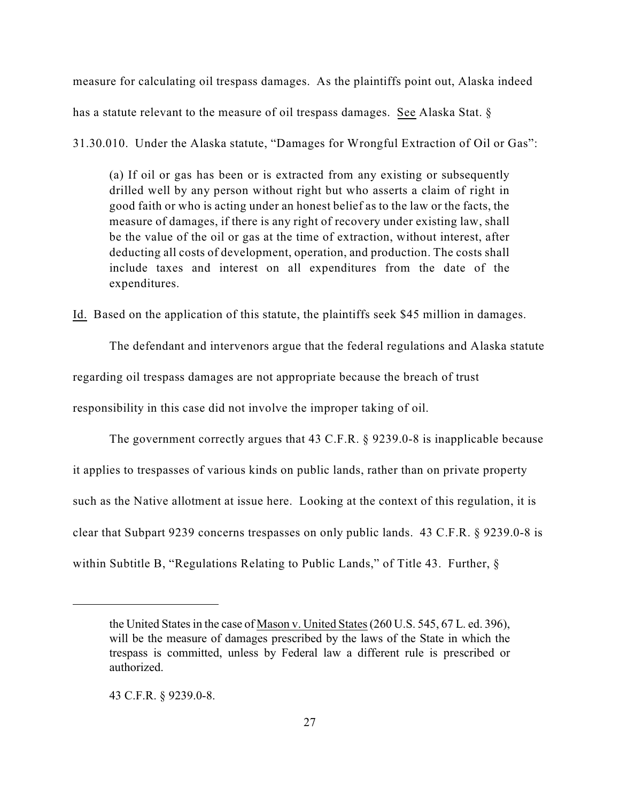measure for calculating oil trespass damages. As the plaintiffs point out, Alaska indeed has a statute relevant to the measure of oil trespass damages. See Alaska Stat. §

31.30.010. Under the Alaska statute, "Damages for Wrongful Extraction of Oil or Gas":

(a) If oil or gas has been or is extracted from any existing or subsequently drilled well by any person without right but who asserts a claim of right in good faith or who is acting under an honest belief as to the law or the facts, the measure of damages, if there is any right of recovery under existing law, shall be the value of the oil or gas at the time of extraction, without interest, after deducting all costs of development, operation, and production. The costs shall include taxes and interest on all expenditures from the date of the expenditures.

Id. Based on the application of this statute, the plaintiffs seek \$45 million in damages.

The defendant and intervenors argue that the federal regulations and Alaska statute

regarding oil trespass damages are not appropriate because the breach of trust

responsibility in this case did not involve the improper taking of oil.

The government correctly argues that 43 C.F.R. § 9239.0-8 is inapplicable because it applies to trespasses of various kinds on public lands, rather than on private property such as the Native allotment at issue here. Looking at the context of this regulation, it is clear that Subpart 9239 concerns trespasses on only public lands. 43 C.F.R. § 9239.0-8 is within Subtitle B, "Regulations Relating to Public Lands," of Title 43. Further,  $\delta$ 

43 C.F.R. § 9239.0-8.

the United States in the case of Mason v. United States (260 U.S. 545, 67 L. ed. 396), will be the measure of damages prescribed by the laws of the State in which the trespass is committed, unless by Federal law a different rule is prescribed or authorized.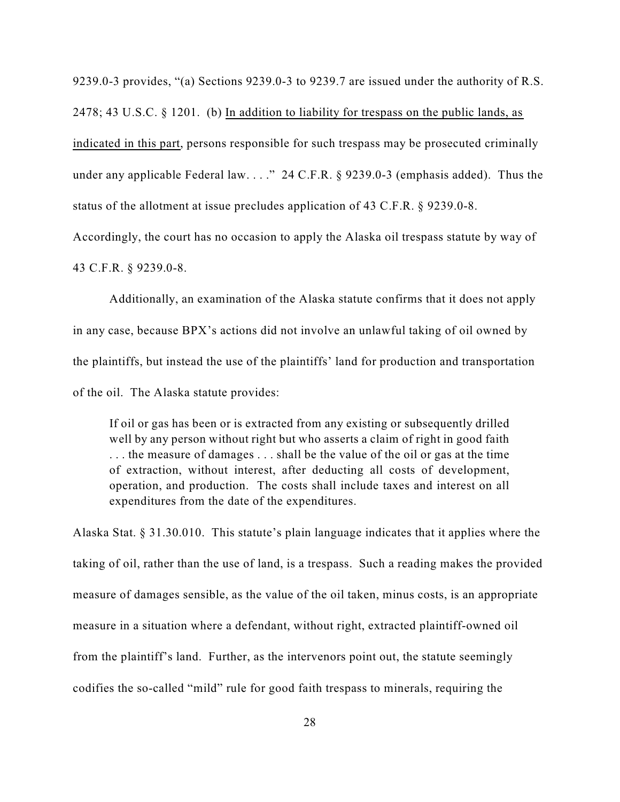9239.0-3 provides, "(a) Sections 9239.0-3 to 9239.7 are issued under the authority of R.S. 2478; 43 U.S.C. § 1201. (b) In addition to liability for trespass on the public lands, as indicated in this part, persons responsible for such trespass may be prosecuted criminally under any applicable Federal law. . . ." 24 C.F.R. § 9239.0-3 (emphasis added). Thus the status of the allotment at issue precludes application of 43 C.F.R. § 9239.0-8. Accordingly, the court has no occasion to apply the Alaska oil trespass statute by way of

43 C.F.R. § 9239.0-8.

Additionally, an examination of the Alaska statute confirms that it does not apply in any case, because BPX's actions did not involve an unlawful taking of oil owned by the plaintiffs, but instead the use of the plaintiffs' land for production and transportation of the oil. The Alaska statute provides:

If oil or gas has been or is extracted from any existing or subsequently drilled well by any person without right but who asserts a claim of right in good faith . . . the measure of damages . . . shall be the value of the oil or gas at the time of extraction, without interest, after deducting all costs of development, operation, and production. The costs shall include taxes and interest on all expenditures from the date of the expenditures.

Alaska Stat. § 31.30.010. This statute's plain language indicates that it applies where the taking of oil, rather than the use of land, is a trespass. Such a reading makes the provided measure of damages sensible, as the value of the oil taken, minus costs, is an appropriate measure in a situation where a defendant, without right, extracted plaintiff-owned oil from the plaintiff's land. Further, as the intervenors point out, the statute seemingly codifies the so-called "mild" rule for good faith trespass to minerals, requiring the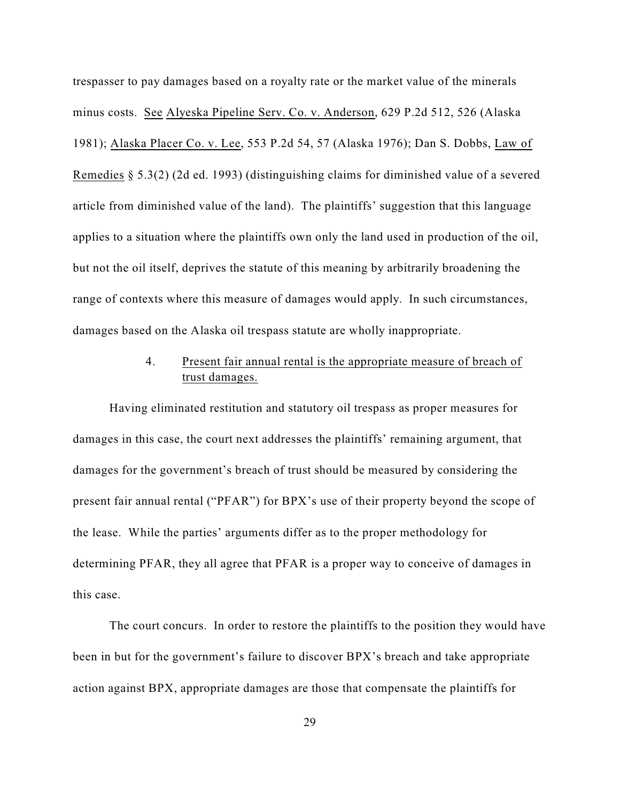trespasser to pay damages based on a royalty rate or the market value of the minerals minus costs. See Alyeska Pipeline Serv. Co. v. Anderson, 629 P.2d 512, 526 (Alaska 1981); Alaska Placer Co. v. Lee, 553 P.2d 54, 57 (Alaska 1976); Dan S. Dobbs, Law of Remedies § 5.3(2) (2d ed. 1993) (distinguishing claims for diminished value of a severed article from diminished value of the land). The plaintiffs' suggestion that this language applies to a situation where the plaintiffs own only the land used in production of the oil, but not the oil itself, deprives the statute of this meaning by arbitrarily broadening the range of contexts where this measure of damages would apply. In such circumstances, damages based on the Alaska oil trespass statute are wholly inappropriate.

# 4. Present fair annual rental is the appropriate measure of breach of trust damages.

Having eliminated restitution and statutory oil trespass as proper measures for damages in this case, the court next addresses the plaintiffs' remaining argument, that damages for the government's breach of trust should be measured by considering the present fair annual rental ("PFAR") for BPX's use of their property beyond the scope of the lease. While the parties' arguments differ as to the proper methodology for determining PFAR, they all agree that PFAR is a proper way to conceive of damages in this case.

The court concurs. In order to restore the plaintiffs to the position they would have been in but for the government's failure to discover BPX's breach and take appropriate action against BPX, appropriate damages are those that compensate the plaintiffs for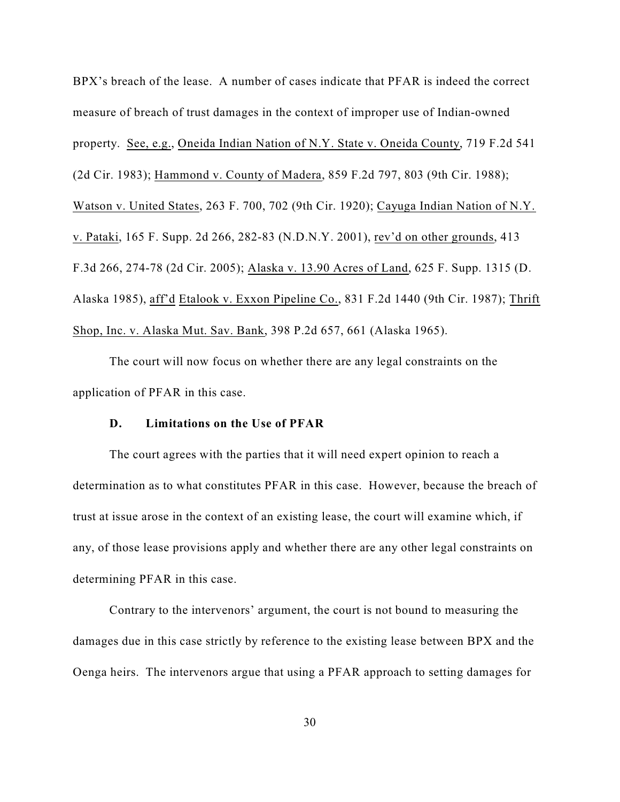BPX's breach of the lease. A number of cases indicate that PFAR is indeed the correct measure of breach of trust damages in the context of improper use of Indian-owned property. See, e.g., Oneida Indian Nation of N.Y. State v. Oneida County, 719 F.2d 541 (2d Cir. 1983); Hammond v. County of Madera, 859 F.2d 797, 803 (9th Cir. 1988); Watson v. United States, 263 F. 700, 702 (9th Cir. 1920); Cayuga Indian Nation of N.Y. v. Pataki, 165 F. Supp. 2d 266, 282-83 (N.D.N.Y. 2001), rev'd on other grounds, 413 F.3d 266, 274-78 (2d Cir. 2005); Alaska v. 13.90 Acres of Land, 625 F. Supp. 1315 (D. Alaska 1985), aff'd Etalook v. Exxon Pipeline Co., 831 F.2d 1440 (9th Cir. 1987); Thrift Shop, Inc. v. Alaska Mut. Sav. Bank, 398 P.2d 657, 661 (Alaska 1965).

The court will now focus on whether there are any legal constraints on the application of PFAR in this case.

## **D. Limitations on the Use of PFAR**

The court agrees with the parties that it will need expert opinion to reach a determination as to what constitutes PFAR in this case. However, because the breach of trust at issue arose in the context of an existing lease, the court will examine which, if any, of those lease provisions apply and whether there are any other legal constraints on determining PFAR in this case.

Contrary to the intervenors' argument, the court is not bound to measuring the damages due in this case strictly by reference to the existing lease between BPX and the Oenga heirs. The intervenors argue that using a PFAR approach to setting damages for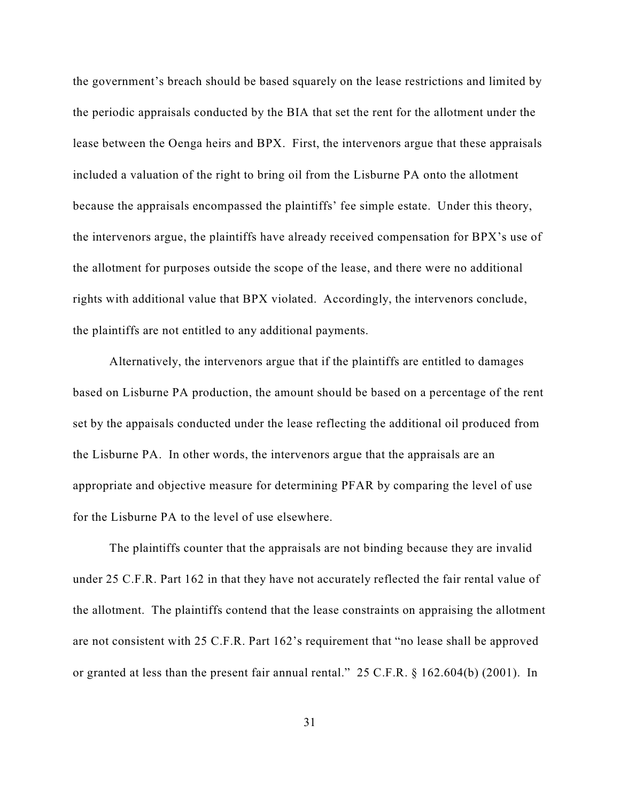the government's breach should be based squarely on the lease restrictions and limited by the periodic appraisals conducted by the BIA that set the rent for the allotment under the lease between the Oenga heirs and BPX. First, the intervenors argue that these appraisals included a valuation of the right to bring oil from the Lisburne PA onto the allotment because the appraisals encompassed the plaintiffs' fee simple estate. Under this theory, the intervenors argue, the plaintiffs have already received compensation for BPX's use of the allotment for purposes outside the scope of the lease, and there were no additional rights with additional value that BPX violated. Accordingly, the intervenors conclude, the plaintiffs are not entitled to any additional payments.

Alternatively, the intervenors argue that if the plaintiffs are entitled to damages based on Lisburne PA production, the amount should be based on a percentage of the rent set by the appaisals conducted under the lease reflecting the additional oil produced from the Lisburne PA. In other words, the intervenors argue that the appraisals are an appropriate and objective measure for determining PFAR by comparing the level of use for the Lisburne PA to the level of use elsewhere.

The plaintiffs counter that the appraisals are not binding because they are invalid under 25 C.F.R. Part 162 in that they have not accurately reflected the fair rental value of the allotment. The plaintiffs contend that the lease constraints on appraising the allotment are not consistent with 25 C.F.R. Part 162's requirement that "no lease shall be approved or granted at less than the present fair annual rental." 25 C.F.R. § 162.604(b) (2001). In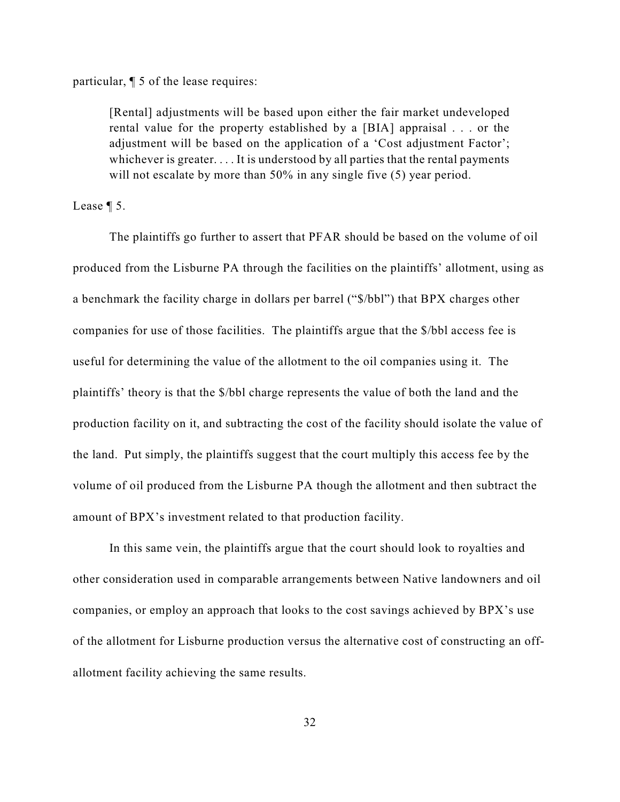particular, ¶ 5 of the lease requires:

[Rental] adjustments will be based upon either the fair market undeveloped rental value for the property established by a [BIA] appraisal . . . or the adjustment will be based on the application of a 'Cost adjustment Factor'; whichever is greater. . . . It is understood by all parties that the rental payments will not escalate by more than 50% in any single five (5) year period.

Lease ¶ 5.

The plaintiffs go further to assert that PFAR should be based on the volume of oil produced from the Lisburne PA through the facilities on the plaintiffs' allotment, using as a benchmark the facility charge in dollars per barrel ("\$/bbl") that BPX charges other companies for use of those facilities. The plaintiffs argue that the \$/bbl access fee is useful for determining the value of the allotment to the oil companies using it. The plaintiffs' theory is that the \$/bbl charge represents the value of both the land and the production facility on it, and subtracting the cost of the facility should isolate the value of the land. Put simply, the plaintiffs suggest that the court multiply this access fee by the volume of oil produced from the Lisburne PA though the allotment and then subtract the amount of BPX's investment related to that production facility.

In this same vein, the plaintiffs argue that the court should look to royalties and other consideration used in comparable arrangements between Native landowners and oil companies, or employ an approach that looks to the cost savings achieved by BPX's use of the allotment for Lisburne production versus the alternative cost of constructing an offallotment facility achieving the same results.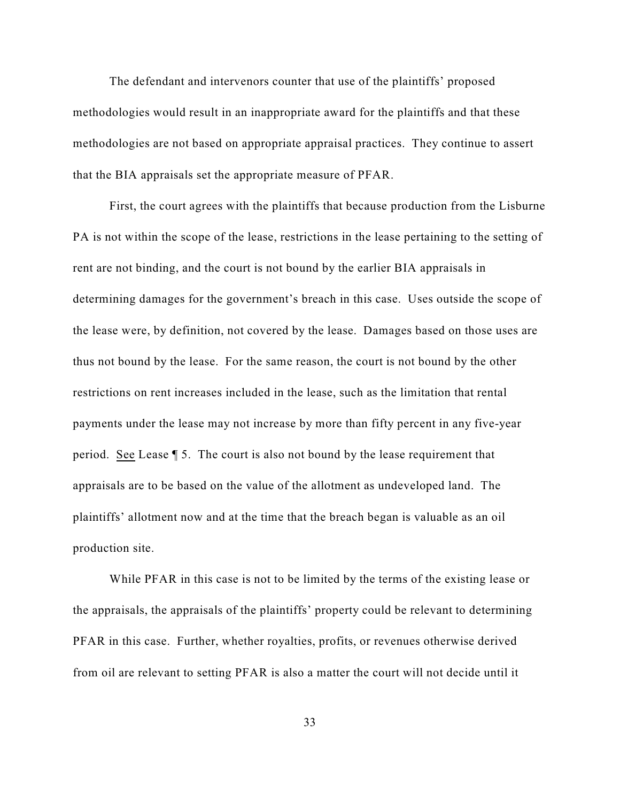The defendant and intervenors counter that use of the plaintiffs' proposed methodologies would result in an inappropriate award for the plaintiffs and that these methodologies are not based on appropriate appraisal practices. They continue to assert that the BIA appraisals set the appropriate measure of PFAR.

First, the court agrees with the plaintiffs that because production from the Lisburne PA is not within the scope of the lease, restrictions in the lease pertaining to the setting of rent are not binding, and the court is not bound by the earlier BIA appraisals in determining damages for the government's breach in this case. Uses outside the scope of the lease were, by definition, not covered by the lease. Damages based on those uses are thus not bound by the lease. For the same reason, the court is not bound by the other restrictions on rent increases included in the lease, such as the limitation that rental payments under the lease may not increase by more than fifty percent in any five-year period. See Lease ¶ 5. The court is also not bound by the lease requirement that appraisals are to be based on the value of the allotment as undeveloped land. The plaintiffs' allotment now and at the time that the breach began is valuable as an oil production site.

While PFAR in this case is not to be limited by the terms of the existing lease or the appraisals, the appraisals of the plaintiffs' property could be relevant to determining PFAR in this case. Further, whether royalties, profits, or revenues otherwise derived from oil are relevant to setting PFAR is also a matter the court will not decide until it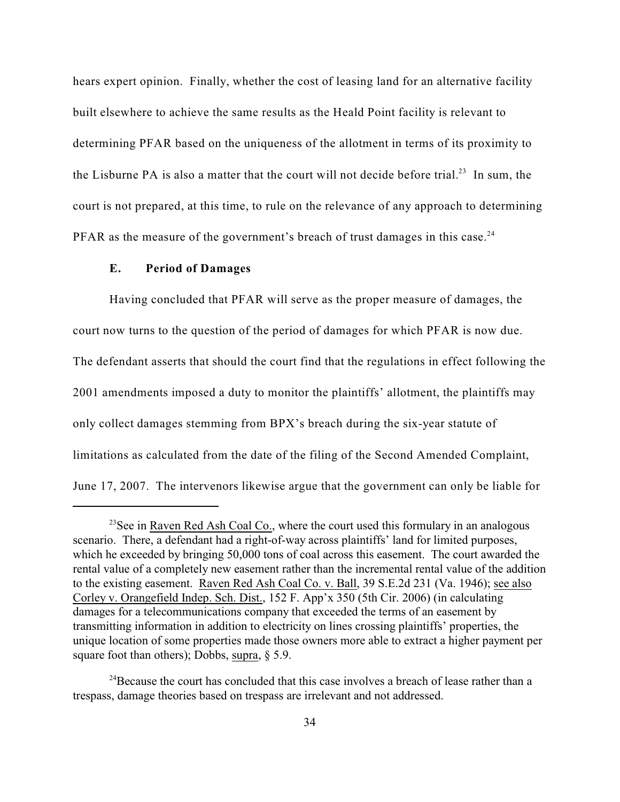hears expert opinion. Finally, whether the cost of leasing land for an alternative facility built elsewhere to achieve the same results as the Heald Point facility is relevant to determining PFAR based on the uniqueness of the allotment in terms of its proximity to the Lisburne PA is also a matter that the court will not decide before trial.<sup>23</sup> In sum, the court is not prepared, at this time, to rule on the relevance of any approach to determining PFAR as the measure of the government's breach of trust damages in this case.<sup>24</sup>

### **E. Period of Damages**

Having concluded that PFAR will serve as the proper measure of damages, the court now turns to the question of the period of damages for which PFAR is now due. The defendant asserts that should the court find that the regulations in effect following the 2001 amendments imposed a duty to monitor the plaintiffs' allotment, the plaintiffs may only collect damages stemming from BPX's breach during the six-year statute of limitations as calculated from the date of the filing of the Second Amended Complaint, June 17, 2007. The intervenors likewise argue that the government can only be liable for

 $23$ See in Raven Red Ash Coal Co., where the court used this formulary in an analogous scenario. There, a defendant had a right-of-way across plaintiffs' land for limited purposes, which he exceeded by bringing 50,000 tons of coal across this easement. The court awarded the rental value of a completely new easement rather than the incremental rental value of the addition to the existing easement. Raven Red Ash Coal Co. v. Ball, 39 S.E.2d 231 (Va. 1946); see also Corley v. Orangefield Indep. Sch. Dist., 152 F. App'x 350 (5th Cir. 2006) (in calculating damages for a telecommunications company that exceeded the terms of an easement by transmitting information in addition to electricity on lines crossing plaintiffs' properties, the unique location of some properties made those owners more able to extract a higher payment per square foot than others); Dobbs, supra,  $\S$  5.9.

<sup>&</sup>lt;sup>24</sup> Because the court has concluded that this case involves a breach of lease rather than a trespass, damage theories based on trespass are irrelevant and not addressed.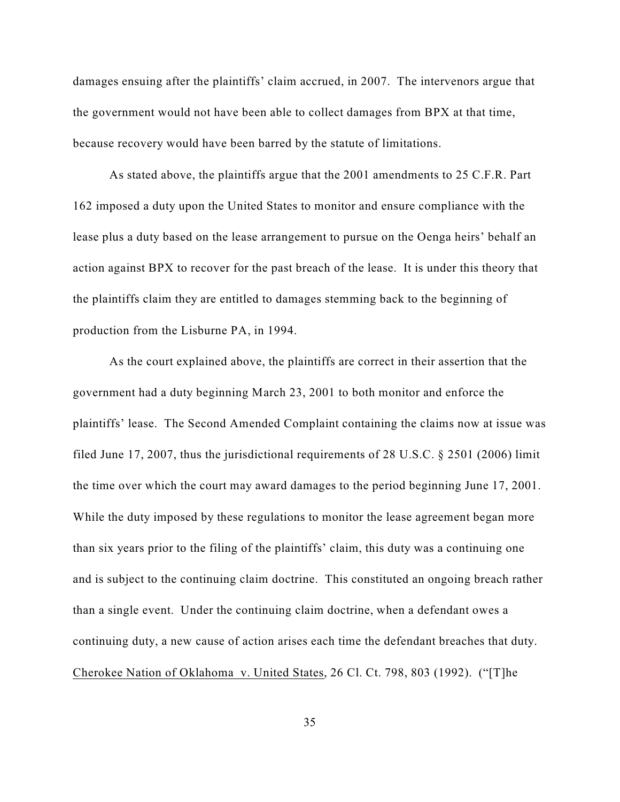damages ensuing after the plaintiffs' claim accrued, in 2007. The intervenors argue that the government would not have been able to collect damages from BPX at that time, because recovery would have been barred by the statute of limitations.

As stated above, the plaintiffs argue that the 2001 amendments to 25 C.F.R. Part 162 imposed a duty upon the United States to monitor and ensure compliance with the lease plus a duty based on the lease arrangement to pursue on the Oenga heirs' behalf an action against BPX to recover for the past breach of the lease. It is under this theory that the plaintiffs claim they are entitled to damages stemming back to the beginning of production from the Lisburne PA, in 1994.

As the court explained above, the plaintiffs are correct in their assertion that the government had a duty beginning March 23, 2001 to both monitor and enforce the plaintiffs' lease. The Second Amended Complaint containing the claims now at issue was filed June 17, 2007, thus the jurisdictional requirements of 28 U.S.C. § 2501 (2006) limit the time over which the court may award damages to the period beginning June 17, 2001. While the duty imposed by these regulations to monitor the lease agreement began more than six years prior to the filing of the plaintiffs' claim, this duty was a continuing one and is subject to the continuing claim doctrine. This constituted an ongoing breach rather than a single event. Under the continuing claim doctrine, when a defendant owes a continuing duty, a new cause of action arises each time the defendant breaches that duty. Cherokee Nation of Oklahoma v. United States, 26 Cl. Ct. 798, 803 (1992). ("[T]he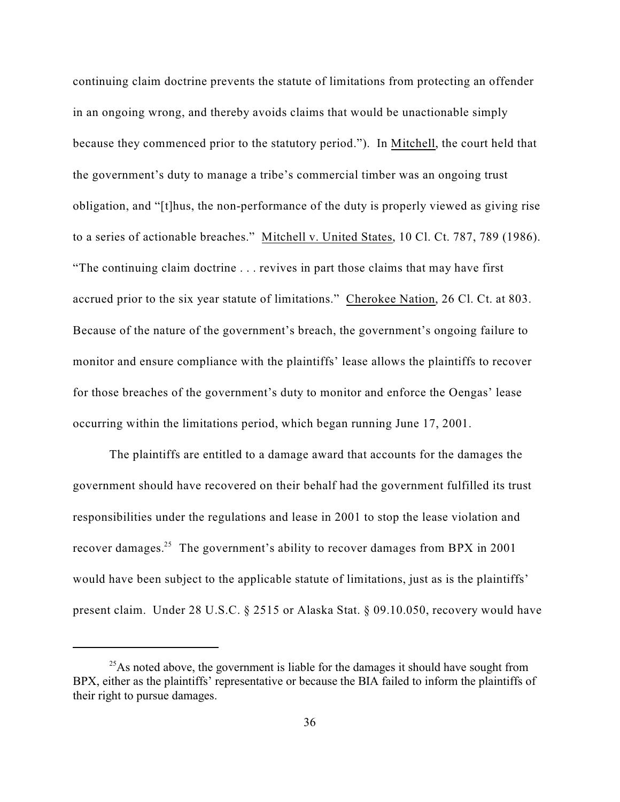continuing claim doctrine prevents the statute of limitations from protecting an offender in an ongoing wrong, and thereby avoids claims that would be unactionable simply because they commenced prior to the statutory period."). In Mitchell, the court held that the government's duty to manage a tribe's commercial timber was an ongoing trust obligation, and "[t]hus, the non-performance of the duty is properly viewed as giving rise to a series of actionable breaches." Mitchell v. United States, 10 Cl. Ct. 787, 789 (1986). "The continuing claim doctrine . . . revives in part those claims that may have first accrued prior to the six year statute of limitations." Cherokee Nation, 26 Cl. Ct. at 803. Because of the nature of the government's breach, the government's ongoing failure to monitor and ensure compliance with the plaintiffs' lease allows the plaintiffs to recover for those breaches of the government's duty to monitor and enforce the Oengas' lease occurring within the limitations period, which began running June 17, 2001.

The plaintiffs are entitled to a damage award that accounts for the damages the government should have recovered on their behalf had the government fulfilled its trust responsibilities under the regulations and lease in 2001 to stop the lease violation and recover damages.<sup>25</sup> The government's ability to recover damages from BPX in 2001 would have been subject to the applicable statute of limitations, just as is the plaintiffs' present claim. Under 28 U.S.C. § 2515 or Alaska Stat. § 09.10.050, recovery would have

 $^{25}$ As noted above, the government is liable for the damages it should have sought from BPX, either as the plaintiffs' representative or because the BIA failed to inform the plaintiffs of their right to pursue damages.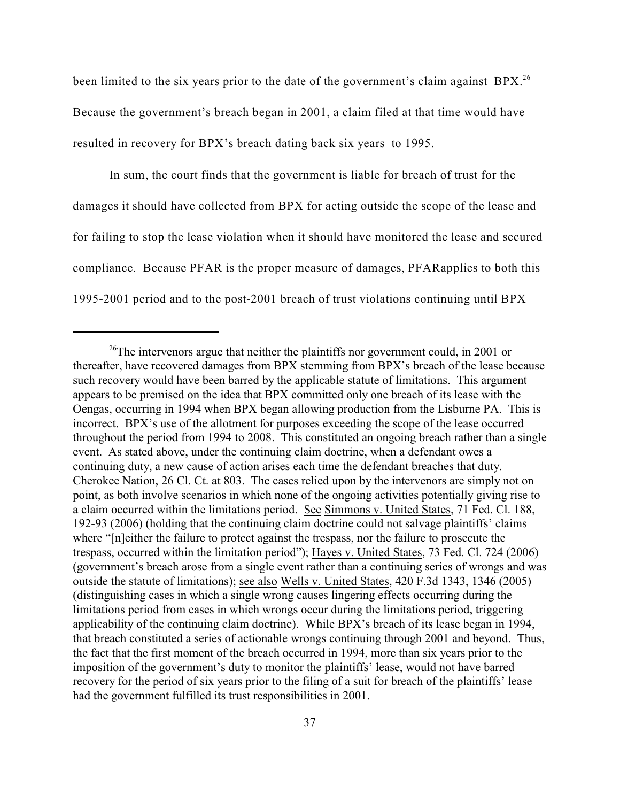been limited to the six years prior to the date of the government's claim against  $BPX$ <sup>26</sup> Because the government's breach began in 2001, a claim filed at that time would have resulted in recovery for BPX's breach dating back six years–to 1995.

In sum, the court finds that the government is liable for breach of trust for the damages it should have collected from BPX for acting outside the scope of the lease and for failing to stop the lease violation when it should have monitored the lease and secured compliance. Because PFAR is the proper measure of damages, PFARapplies to both this 1995-2001 period and to the post-2001 breach of trust violations continuing until BPX

 $26$ The intervenors argue that neither the plaintiffs nor government could, in 2001 or thereafter, have recovered damages from BPX stemming from BPX's breach of the lease because such recovery would have been barred by the applicable statute of limitations. This argument appears to be premised on the idea that BPX committed only one breach of its lease with the Oengas, occurring in 1994 when BPX began allowing production from the Lisburne PA. This is incorrect. BPX's use of the allotment for purposes exceeding the scope of the lease occurred throughout the period from 1994 to 2008. This constituted an ongoing breach rather than a single event. As stated above, under the continuing claim doctrine, when a defendant owes a continuing duty, a new cause of action arises each time the defendant breaches that duty. Cherokee Nation, 26 Cl. Ct. at 803. The cases relied upon by the intervenors are simply not on point, as both involve scenarios in which none of the ongoing activities potentially giving rise to a claim occurred within the limitations period. See Simmons v. United States, 71 Fed. Cl. 188, 192-93 (2006) (holding that the continuing claim doctrine could not salvage plaintiffs' claims where "[n]either the failure to protect against the trespass, nor the failure to prosecute the trespass, occurred within the limitation period"); Hayes v. United States, 73 Fed. Cl. 724 (2006) (government's breach arose from a single event rather than a continuing series of wrongs and was outside the statute of limitations); see also Wells v. United States, 420 F.3d 1343, 1346 (2005) (distinguishing cases in which a single wrong causes lingering effects occurring during the limitations period from cases in which wrongs occur during the limitations period, triggering applicability of the continuing claim doctrine). While BPX's breach of its lease began in 1994, that breach constituted a series of actionable wrongs continuing through 2001 and beyond. Thus, the fact that the first moment of the breach occurred in 1994, more than six years prior to the imposition of the government's duty to monitor the plaintiffs' lease, would not have barred recovery for the period of six years prior to the filing of a suit for breach of the plaintiffs' lease had the government fulfilled its trust responsibilities in 2001.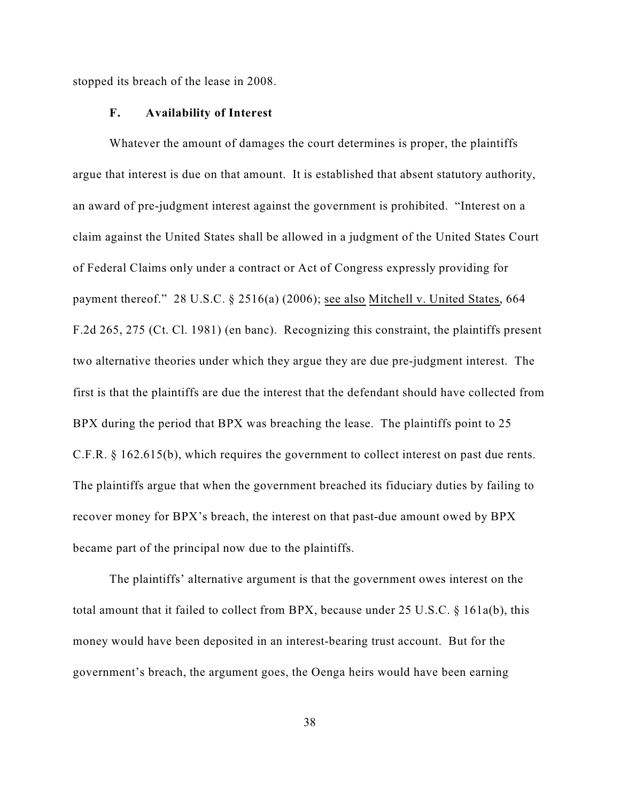stopped its breach of the lease in 2008.

#### **F. Availability of Interest**

Whatever the amount of damages the court determines is proper, the plaintiffs argue that interest is due on that amount. It is established that absent statutory authority, an award of pre-judgment interest against the government is prohibited. "Interest on a claim against the United States shall be allowed in a judgment of the United States Court of Federal Claims only under a contract or Act of Congress expressly providing for payment thereof." 28 U.S.C. § 2516(a) (2006); see also Mitchell v. United States, 664 F.2d 265, 275 (Ct. Cl. 1981) (en banc). Recognizing this constraint, the plaintiffs present two alternative theories under which they argue they are due pre-judgment interest. The first is that the plaintiffs are due the interest that the defendant should have collected from BPX during the period that BPX was breaching the lease. The plaintiffs point to 25 C.F.R. § 162.615(b), which requires the government to collect interest on past due rents. The plaintiffs argue that when the government breached its fiduciary duties by failing to recover money for BPX's breach, the interest on that past-due amount owed by BPX became part of the principal now due to the plaintiffs.

The plaintiffs' alternative argument is that the government owes interest on the total amount that it failed to collect from BPX, because under 25 U.S.C. § 161a(b), this money would have been deposited in an interest-bearing trust account. But for the government's breach, the argument goes, the Oenga heirs would have been earning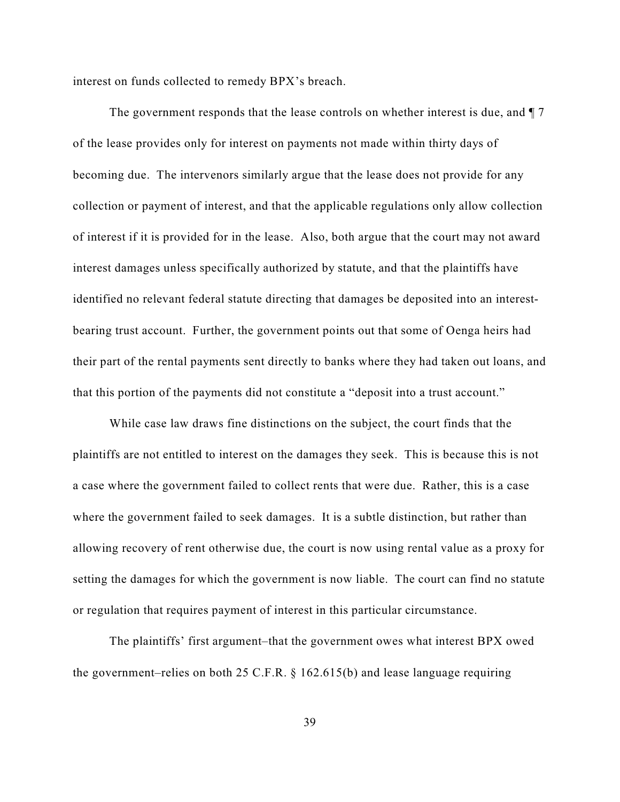interest on funds collected to remedy BPX's breach.

The government responds that the lease controls on whether interest is due, and  $\P$  7 of the lease provides only for interest on payments not made within thirty days of becoming due. The intervenors similarly argue that the lease does not provide for any collection or payment of interest, and that the applicable regulations only allow collection of interest if it is provided for in the lease. Also, both argue that the court may not award interest damages unless specifically authorized by statute, and that the plaintiffs have identified no relevant federal statute directing that damages be deposited into an interestbearing trust account. Further, the government points out that some of Oenga heirs had their part of the rental payments sent directly to banks where they had taken out loans, and that this portion of the payments did not constitute a "deposit into a trust account."

While case law draws fine distinctions on the subject, the court finds that the plaintiffs are not entitled to interest on the damages they seek. This is because this is not a case where the government failed to collect rents that were due. Rather, this is a case where the government failed to seek damages. It is a subtle distinction, but rather than allowing recovery of rent otherwise due, the court is now using rental value as a proxy for setting the damages for which the government is now liable. The court can find no statute or regulation that requires payment of interest in this particular circumstance.

The plaintiffs' first argument–that the government owes what interest BPX owed the government–relies on both 25 C.F.R. § 162.615(b) and lease language requiring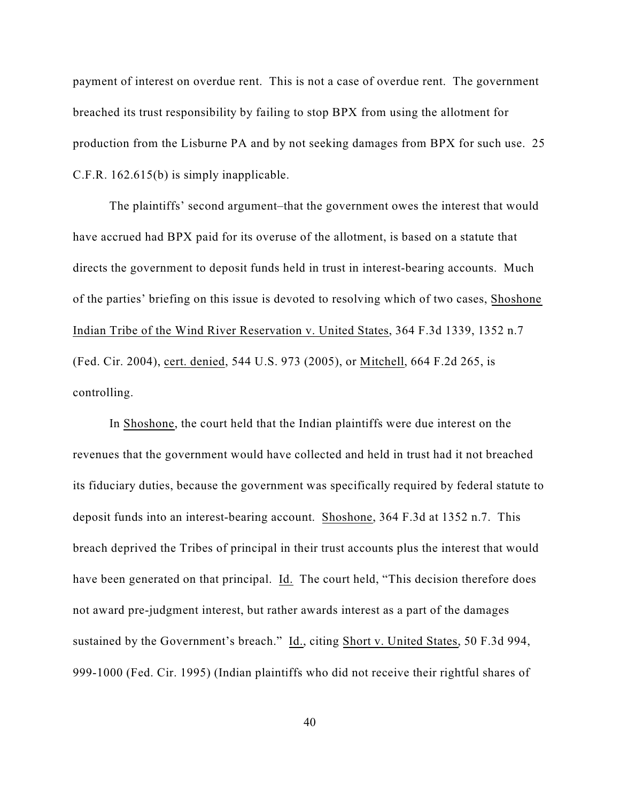payment of interest on overdue rent. This is not a case of overdue rent. The government breached its trust responsibility by failing to stop BPX from using the allotment for production from the Lisburne PA and by not seeking damages from BPX for such use. 25 C.F.R. 162.615(b) is simply inapplicable.

The plaintiffs' second argument–that the government owes the interest that would have accrued had BPX paid for its overuse of the allotment, is based on a statute that directs the government to deposit funds held in trust in interest-bearing accounts. Much of the parties' briefing on this issue is devoted to resolving which of two cases, Shoshone Indian Tribe of the Wind River Reservation v. United States, 364 F.3d 1339, 1352 n.7 (Fed. Cir. 2004), cert. denied, 544 U.S. 973 (2005), or Mitchell, 664 F.2d 265, is controlling.

In Shoshone, the court held that the Indian plaintiffs were due interest on the revenues that the government would have collected and held in trust had it not breached its fiduciary duties, because the government was specifically required by federal statute to deposit funds into an interest-bearing account. Shoshone, 364 F.3d at 1352 n.7. This breach deprived the Tribes of principal in their trust accounts plus the interest that would have been generated on that principal. Id. The court held, "This decision therefore does not award pre-judgment interest, but rather awards interest as a part of the damages sustained by the Government's breach." Id., citing Short v. United States, 50 F.3d 994, 999-1000 (Fed. Cir. 1995) (Indian plaintiffs who did not receive their rightful shares of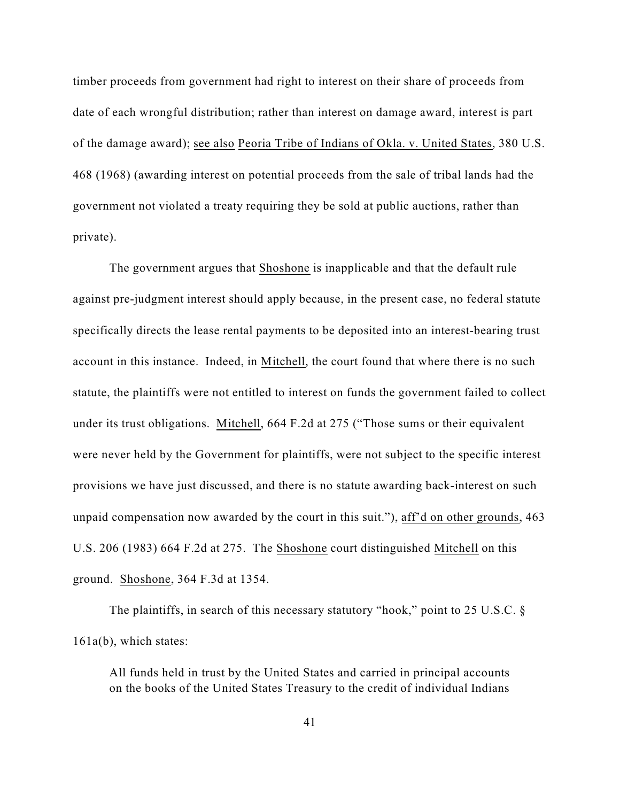timber proceeds from government had right to interest on their share of proceeds from date of each wrongful distribution; rather than interest on damage award, interest is part of the damage award); see also Peoria Tribe of Indians of Okla. v. United States, 380 U.S. 468 (1968) (awarding interest on potential proceeds from the sale of tribal lands had the government not violated a treaty requiring they be sold at public auctions, rather than private).

The government argues that Shoshone is inapplicable and that the default rule against pre-judgment interest should apply because, in the present case, no federal statute specifically directs the lease rental payments to be deposited into an interest-bearing trust account in this instance. Indeed, in Mitchell, the court found that where there is no such statute, the plaintiffs were not entitled to interest on funds the government failed to collect under its trust obligations. Mitchell, 664 F.2d at 275 ("Those sums or their equivalent were never held by the Government for plaintiffs, were not subject to the specific interest provisions we have just discussed, and there is no statute awarding back-interest on such unpaid compensation now awarded by the court in this suit."), aff'd on other grounds, 463 U.S. 206 (1983) 664 F.2d at 275. The Shoshone court distinguished Mitchell on this ground. Shoshone, 364 F.3d at 1354.

The plaintiffs, in search of this necessary statutory "hook," point to 25 U.S.C. § 161a(b), which states:

All funds held in trust by the United States and carried in principal accounts on the books of the United States Treasury to the credit of individual Indians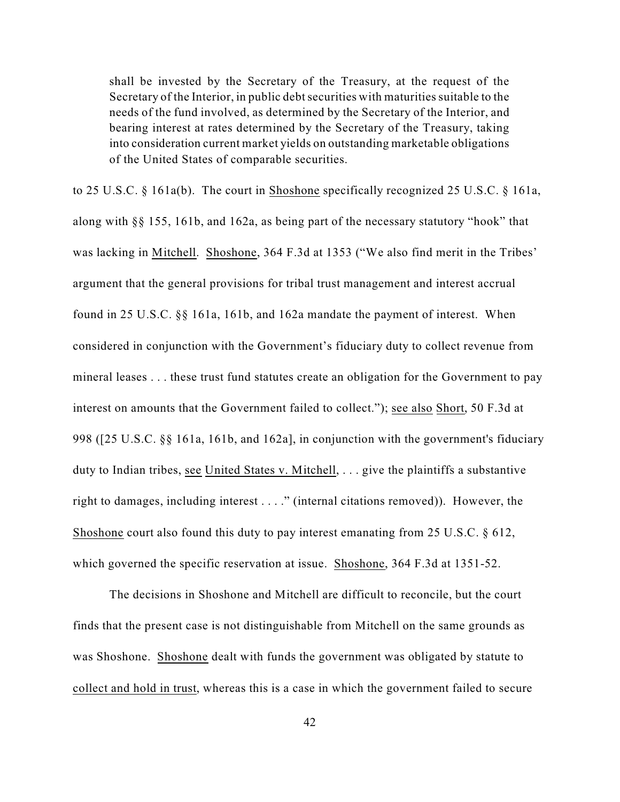shall be invested by the Secretary of the Treasury, at the request of the Secretary of the Interior, in public debt securities with maturities suitable to the needs of the fund involved, as determined by the Secretary of the Interior, and bearing interest at rates determined by the Secretary of the Treasury, taking into consideration current market yields on outstanding marketable obligations of the United States of comparable securities.

to 25 U.S.C. § 161a(b). The court in Shoshone specifically recognized 25 U.S.C. § 161a, along with §§ 155, 161b, and 162a, as being part of the necessary statutory "hook" that was lacking in Mitchell. Shoshone, 364 F.3d at 1353 ("We also find merit in the Tribes' argument that the general provisions for tribal trust management and interest accrual found in 25 U.S.C. §§ 161a, 161b, and 162a mandate the payment of interest. When considered in conjunction with the Government's fiduciary duty to collect revenue from mineral leases . . . these trust fund statutes create an obligation for the Government to pay interest on amounts that the Government failed to collect."); see also Short, 50 F.3d at 998 ([25 U.S.C. §§ 161a, 161b, and 162a], in conjunction with the government's fiduciary duty to Indian tribes, see United States v. Mitchell, . . . give the plaintiffs a substantive right to damages, including interest . . . ." (internal citations removed)). However, the Shoshone court also found this duty to pay interest emanating from 25 U.S.C. § 612, which governed the specific reservation at issue. Shoshone, 364 F.3d at 1351-52.

The decisions in Shoshone and Mitchell are difficult to reconcile, but the court finds that the present case is not distinguishable from Mitchell on the same grounds as was Shoshone. Shoshone dealt with funds the government was obligated by statute to collect and hold in trust, whereas this is a case in which the government failed to secure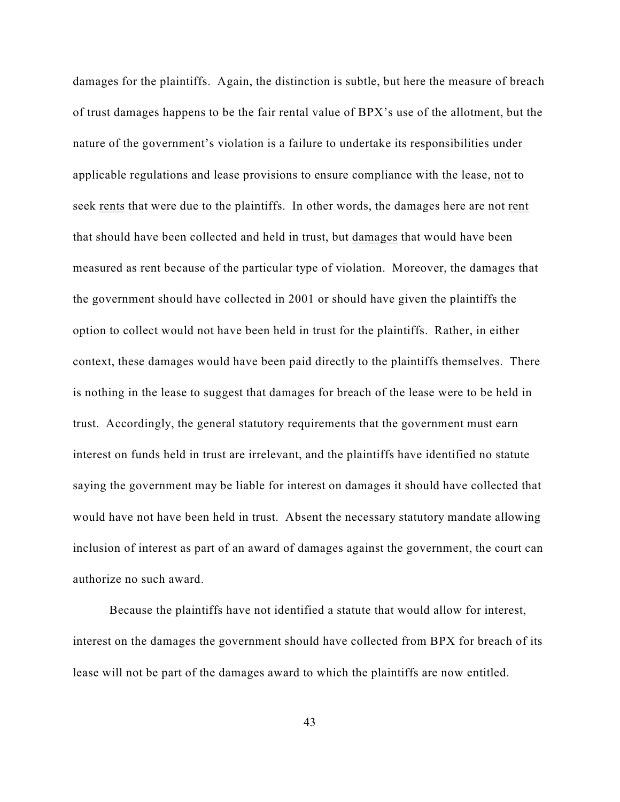damages for the plaintiffs. Again, the distinction is subtle, but here the measure of breach of trust damages happens to be the fair rental value of BPX's use of the allotment, but the nature of the government's violation is a failure to undertake its responsibilities under applicable regulations and lease provisions to ensure compliance with the lease, not to seek rents that were due to the plaintiffs. In other words, the damages here are not rent that should have been collected and held in trust, but damages that would have been measured as rent because of the particular type of violation. Moreover, the damages that the government should have collected in 2001 or should have given the plaintiffs the option to collect would not have been held in trust for the plaintiffs. Rather, in either context, these damages would have been paid directly to the plaintiffs themselves. There is nothing in the lease to suggest that damages for breach of the lease were to be held in trust. Accordingly, the general statutory requirements that the government must earn interest on funds held in trust are irrelevant, and the plaintiffs have identified no statute saying the government may be liable for interest on damages it should have collected that would have not have been held in trust. Absent the necessary statutory mandate allowing inclusion of interest as part of an award of damages against the government, the court can authorize no such award.

Because the plaintiffs have not identified a statute that would allow for interest, interest on the damages the government should have collected from BPX for breach of its lease will not be part of the damages award to which the plaintiffs are now entitled.